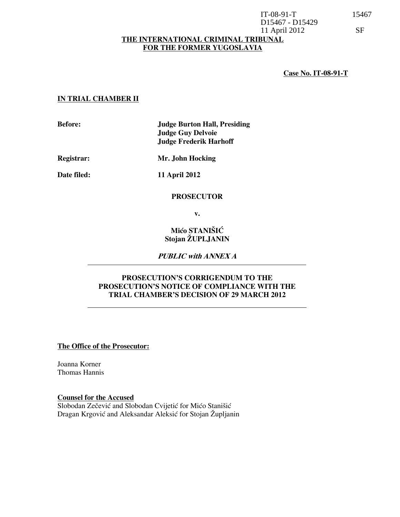## THE INTERNATIONAL CRIMINAL TRIBUNAL FOR THE FORMER YUGOSLAVIA D15467 - D15429 11 April 2012 SF

## Case No. IT-08-91-T

## IN TRIAL CHAMBER II

Before: Judge Burton Hall, Presiding Judge Guy Delvoie Judge Frederik Harhoff

Registrar: Mr. John Hocking

Date filed: 11 April 2012

#### PROSECUTOR

v.

Mićo STANIŠIĆ Stojan ŽUPLJANIN

PUBLIC with ANNEX A

## PROSECUTION'S CORRIGENDUM TO THE PROSECUTION'S NOTICE OF COMPLIANCE WITH THE TRIAL CHAMBER'S DECISION OF 29 MARCH 2012

The Office of the Prosecutor:

Joanna Korner Thomas Hannis

Counsel for the Accused Slobodan Zečević and Slobodan Cvijetić for Mićo Stanišić Dragan Krgović and Aleksandar Aleksić for Stojan Župljanin IT-08-91-T 15467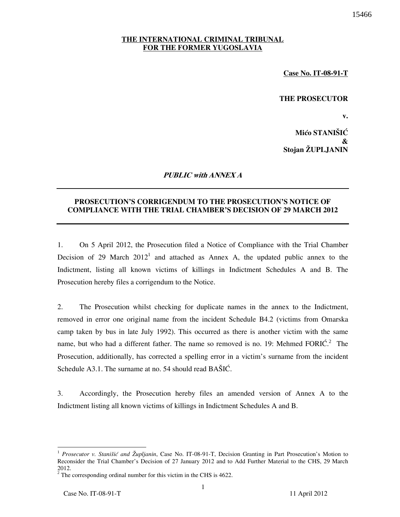Case No. IT-08-91-T

## THE PROSECUTOR

v.

15466

Mićo STANIŠIĆ & Stojan ŽUPLJANIN

## PUBLIC with ANNEX A

## PROSECUTION'S CORRIGENDUM TO THE PROSECUTION'S NOTICE OF COMPLIANCE WITH THE TRIAL CHAMBER'S DECISION OF 29 MARCH 2012

1. On 5 April 2012, the Prosecution filed a Notice of Compliance with the Trial Chamber Decision of 29 March  $2012<sup>1</sup>$  and attached as Annex A, the updated public annex to the Indictment, listing all known victims of killings in Indictment Schedules A and B. The Prosecution hereby files a corrigendum to the Notice.

2. The Prosecution whilst checking for duplicate names in the annex to the Indictment, removed in error one original name from the incident Schedule B4.2 (victims from Omarska camp taken by bus in late July 1992). This occurred as there is another victim with the same name, but who had a different father. The name so removed is no. 19: Mehmed FORI $\acute{C}$ . The Prosecution, additionally, has corrected a spelling error in a victim's surname from the incident Schedule A3.1. The surname at no. 54 should read  $BA\ddot{S}I\dot{C}$ .

3. Accordingly, the Prosecution hereby files an amended version of Annex A to the Indictment listing all known victims of killings in Indictment Schedules A and B.

 $\overline{a}$ 

<sup>&</sup>lt;sup>1</sup> Prosecutor v. Stanišić and Župljanin, Case No. IT-08-91-T, Decision Granting in Part Prosecution's Motion to Reconsider the Trial Chamber's Decision of 27 January 2012 and to Add Further Material to the CHS, 29 March 2012.

 $2^2$  The corresponding ordinal number for this victim in the CHS is 4622.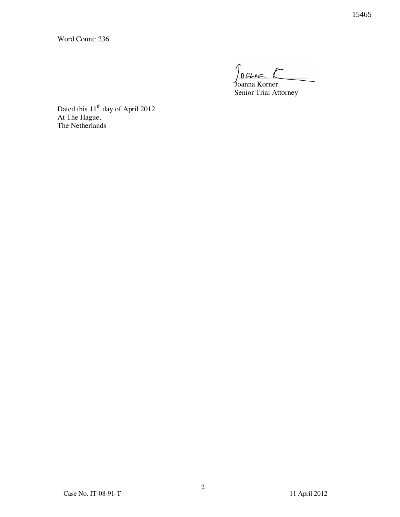Word Count: 236

 $100440$ 

 Joanna Korner Senior Trial Attorney

Dated this 11<sup>th</sup> day of April 2012 At The Hague, The Netherlands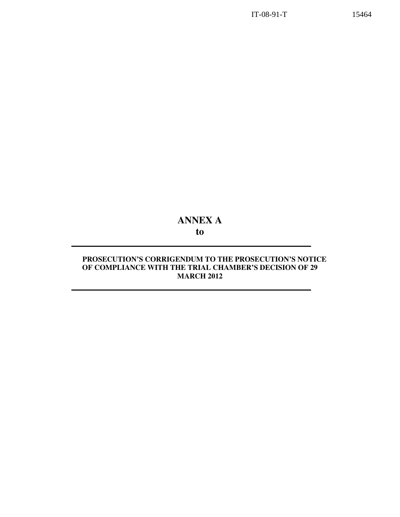# ANNEX A to

## PROSECUTION'S CORRIGENDUM TO THE PROSECUTION'S NOTICE OF COMPLIANCE WITH THE TRIAL CHAMBER'S DECISION OF 29 **MARCH 2012**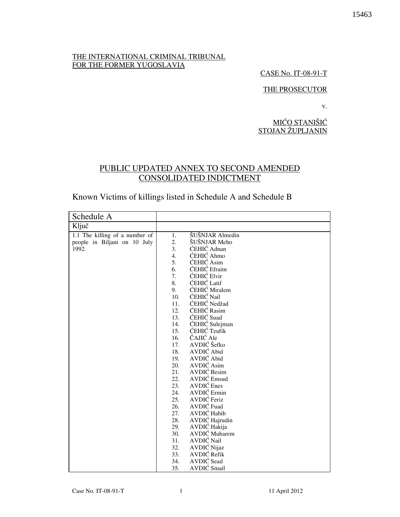## THE INTERNATIONAL CRIMINAL TRIBUNAL FOR THE FORMER YUGOSLAVIA

## CASE No. IT-08-91-T

## THE PROSECUTOR

v.

MIĆO STANIŠIĆ STOJAN ŽUPLJANIN

## PUBLIC UPDATED ANNEX TO SECOND AMENDED CONSOLIDATED INDICTMENT

# Known Victims of killings listed in Schedule A and Schedule B

| Schedule A                     |            |                                |
|--------------------------------|------------|--------------------------------|
| Ključ                          |            |                                |
| 1.1 The killing of a number of | 1.         | ŠUŠNJAR Almedin                |
| people in Biljani on 10 July   | 2.         | ŠUŠNJAR Meho                   |
| 1992.                          | 3.         | ĆEHIĆ Adnan                    |
|                                | 4.         | ĆEHIĆ Ahmo                     |
|                                | 5.         | ĆEHIĆ Asim                     |
|                                | 6.         | <b>ĆEHIĆ</b> Efraim            |
|                                | 7.         | ĆEHIĆ Elvir                    |
|                                | 8.         | <b>ĆEHIĆ</b> Latif             |
|                                | 9.         | ĆEHIĆ Miralem                  |
|                                | 10.        | ĆEHIĆ Nail                     |
|                                | 11.        | ĆEHIĆ Nedžad                   |
|                                | 12.        | ĆEHIĆ Rasim                    |
|                                | 13.        | ĆEHIĆ Suad                     |
|                                | 14.        | ĆEHIĆ Sulejman                 |
|                                | 15.        | ĆEHIĆ Teufik                   |
|                                | 16.        | ČAJIĆ Ale                      |
|                                | 17.        | AVDIĆ Šefko                    |
|                                | 18.        | AVDIĆ Abid                     |
|                                | 19.        | AVDIĆ Abid                     |
|                                | 20.        | AVDIĆ Asim                     |
|                                | 21.        | <b>AVDIĆ</b> Besim             |
|                                | 22.        | <b>AVDIĆ</b> Emsud             |
|                                | 23.        | <b>AVDIC</b> Enes              |
|                                | 24.        | AVDIĆ Ermin                    |
|                                | 25.<br>26. | AVDIĆ Feriz<br>AVDIĆ Fuad      |
|                                | 27.        | AVDIĆ Habib                    |
|                                | 28.        |                                |
|                                |            | AVDIĆ Hajrudin<br>AVDIĆ Hakija |
|                                | 29.<br>30. | AVDIĆ Muharem                  |
|                                | 31.        | AVDIĆ Nail                     |
|                                | 32.        | AVDIĆ Nijaz                    |
|                                | 33.        | <b>AVDIĆ</b> Refik             |
|                                | 34.        | AVDIĆ Sead                     |
|                                | 35.        | AVDIĆ Smail                    |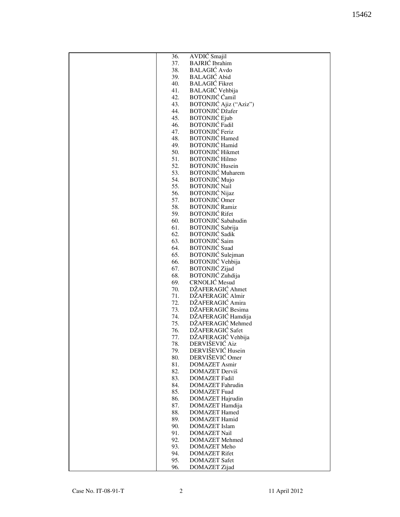| 36. | AVDIC Smajil              |
|-----|---------------------------|
| 37. | <b>BAJRIĆ</b> Ibrahim     |
| 38. | <b>BALAGIĆ</b> Avdo       |
| 39. | <b>BALAGIĆ</b> Abid       |
| 40. | <b>BALAGIĆ</b> Fikret     |
|     |                           |
| 41. | <b>BALAGIĆ</b> Vehbija    |
| 42. | <b>BOTONJIĆ</b> Ćamil     |
| 43. | BOTONJIĆ Ajiz ("Aziz")    |
| 44. | <b>BOTONJIĆ Džafer</b>    |
| 45. | <b>BOTONJIĆ Ejub</b>      |
| 46. | <b>BOTONJIĆ Fadil</b>     |
| 47. | <b>BOTONJIĆ Feriz</b>     |
| 48. | <b>BOTONJIĆ Hamed</b>     |
| 49. | <b>BOTONJIĆ Hamid</b>     |
| 50. | <b>BOTONJIĆ Hikmet</b>    |
| 51. | <b>BOTONJIĆ Hilmo</b>     |
| 52. | <b>BOTONJIĆ Husein</b>    |
| 53. | <b>BOTONJIĆ</b> Muharem   |
| 54. | <b>BOTONJIĆ Mujo</b>      |
| 55. | <b>BOTONJIĆ Nail</b>      |
| 56. | <b>BOTONJIĆ Nijaz</b>     |
| 57. | <b>BOTONJIĆ</b> Omer      |
| 58. | <b>BOTONJIĆ Ramiz</b>     |
| 59. | <b>BOTONJIĆ Rifet</b>     |
| 60. | <b>BOTONJIĆ</b> Sabahudin |
| 61. | BOTONJIĆ Sabrija          |
| 62. | <b>BOTONJIĆ Sadik</b>     |
| 63. | <b>BOTONJIĆ Saim</b>      |
| 64. | <b>BOTONJIĆ</b> Suad      |
| 65. | BOTONJIĆ Sulejman         |
|     |                           |
| 66. | BOTONJIĆ Vehbija          |
| 67. | <b>BOTONJIĆ</b> Zijad     |
| 68. | BOTONJIĆ Zuhdija          |
| 69. | <b>CRNOLIĆ</b> Mesud      |
| 70. | DŽAFERAGIĆ Ahmet          |
| 71. | DŽAFERAGIĆ Almir          |
| 72. | DŽAFERAGIĆ Amira          |
| 73. | DŽAFERAGIĆ Besima         |
| 74. | DŽAFERAGIĆ Hamdija        |
| 75. | DŽAFERAGIĆ Mehmed         |
| 76. | DŽAFERAGIĆ Safet          |
| 77. | DŽAFERAGIĆ Vehbija        |
| 78. | DERVIŠEVIĆ Aiz            |
| 79. | DERVIŠEVIĆ Husein         |
| 80. | DERVIŠEVIĆ Omer           |
| 81. | <b>DOMAZET Asmir</b>      |
| 82. | DOMAZET Derviš            |
| 83. | <b>DOMAZET Fadil</b>      |
| 84. | <b>DOMAZET</b> Fahrudin   |
| 85. | <b>DOMAZET</b> Fuad       |
| 86. | DOMAZET Hajrudin          |
| 87. | DOMAZET Hamdija           |
| 88. | <b>DOMAZET Hamed</b>      |
| 89. | <b>DOMAZET Hamid</b>      |
| 90. | <b>DOMAZET</b> Islam      |
| 91. | <b>DOMAZET Nail</b>       |
| 92. | <b>DOMAZET</b> Mehmed     |
| 93. | DOMAZET Meho              |
| 94. | <b>DOMAZET Rifet</b>      |
| 95. | <b>DOMAZET Safet</b>      |
| 96. | DOMAZET Zijad             |
|     |                           |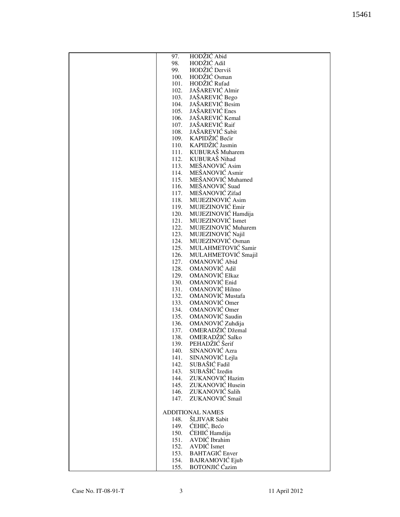| 97.          | HODŽIĆ Abid                            |
|--------------|----------------------------------------|
| 98.          | HODŽIĆ Adil                            |
|              | HODŽIĆ Derviš                          |
| 99.          |                                        |
| 100.         | HODŽIĆ Osman                           |
| 101.         | HODŽIĆ Rufad                           |
| 102.         | JAŠAREVIĆ Almir                        |
| 103.         | JAŠAREVIĆ Bego                         |
| 104.         | JAŠAREVIĆ Besim                        |
| 105.         | JAŠAREVIĆ Enes                         |
| 106.         | JAŠAREVIĆ Kemal                        |
| 107.         | JAŠAREVIĆ Raif                         |
| 108.         | JAŠAREVIĆ Sabit                        |
| 109.         | KAPIDŽIĆ Bećir                         |
| 110.         | KAPIDŽIĆ Jasmin                        |
| 111.         | KUBURAŠ Muharem                        |
| 112.         | KUBURAŠ Nihad                          |
| 113.         | MEŠANOVIĆ Asim                         |
| 114.         | MEŠANOVIĆ Asmir                        |
| 115.         | MEŠANOVIĆ Muhamed                      |
| 116.         | MEŠANOVIĆ Suad                         |
| 117.         | MEŠANOVIĆ Zifad                        |
| 118.         | MUJEZINOVIĆ Asim                       |
| 119.         | MUJEZINOVIĆ Emir                       |
| 120.         | MUJEZINOVIĆ Hamdija                    |
| 121.         | MUJEZINOVIĆ Ismet                      |
|              | MUJEZINOVIĆ Muharem                    |
| 122.<br>123. |                                        |
|              | MUJEZINOVIĆ Najil<br>MUJEZINOVIĆ Osman |
| 124.         |                                        |
| 125.         | MULAHMETOVIĆ Samir                     |
| 126.         | MULAHMETOVIĆ Smajil                    |
| 127.         | OMANOVIĆ Abid                          |
| 128.         | OMANOVIĆ Adil                          |
| 129.         | OMANOVIĆ Elkaz                         |
| 130.         | OMANOVIĆ Enid                          |
| 131.         | OMANOVIĆ Hilmo                         |
| 132.         | <b>OMANOVIĆ Mustafa</b>                |
| 133.         | OMANOVIĆ Omer                          |
| 134.         | OMANOVIĆ Omer                          |
| 135.         | OMANOVIĆ Saudin                        |
| 136.         | OMANOVIĆ Zuhdija                       |
| 137.         | OMERADŽIĆ Džemal                       |
| 138.         | OMERADŽIĆ Salko                        |
| 139.         | PEHADŽIĆ Šerif                         |
| 140.         | SINANOVIĆ Azra                         |
| 141.         | SINANOVIĆ Lejla                        |
| 142.         | SUBAŠIĆ Fadil                          |
| 143.         | SUBAŠIĆ Izedin                         |
| 144.         | ZUKANOVIĆ Hazim                        |
| 145.         | ZUKANOVIĆ Husein                       |
| 146.         | ZUKANOVIĆ Salih                        |
| 147.         | ZUKANOVIĆ Smail                        |
|              |                                        |
|              | <b>ADDITIONAL NAMES</b>                |
| 148.         | ŠLJIVAR Sabit                          |
| 149.         | ĆEHIĆ, Bećo                            |
| 150.         | ĆEHIĆ Hamdija                          |
| 151.         | AVDIĆ Ibrahim                          |
| 152.         | AVDIĆ Ismet                            |
| 153.         | <b>BAHTAGIĆ</b> Enver                  |
| 154.         | <b>BAJRAMOVIĆ Ejub</b>                 |
| 155.         | <b>BOTONJIĆ</b> Ćazim                  |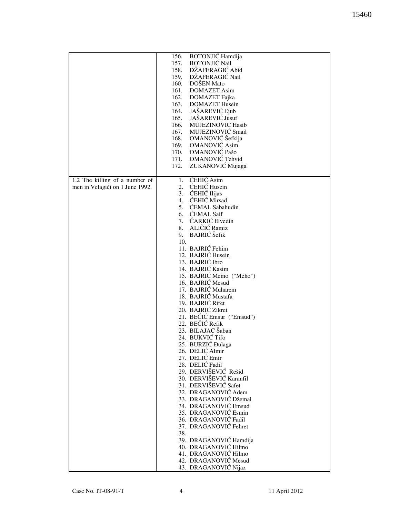|                                 | <b>BOTONJIĆ Hamdija</b><br>156. |
|---------------------------------|---------------------------------|
|                                 | <b>BOTONJIĆ Nail</b><br>157.    |
|                                 |                                 |
|                                 | DŽAFERAGIĆ Abid<br>158.         |
|                                 | DŽAFERAGIĆ Nail<br>159.         |
|                                 | DOŠEN Mato<br>160.              |
|                                 | <b>DOMAZET</b> Asim<br>161.     |
|                                 |                                 |
|                                 | 162.<br>DOMAZET Fajka           |
|                                 | <b>DOMAZET Husein</b><br>163.   |
|                                 | JAŠAREVIĆ Ejub<br>164.          |
|                                 | JAŠAREVIĆ Jusuf                 |
|                                 | 165.                            |
|                                 | MUJEZINOVIĆ Hasib<br>166.       |
|                                 | MUJEZINOVIĆ Smail<br>167.       |
|                                 | OMANOVIĆ Šefkija<br>168.        |
|                                 |                                 |
|                                 | 169.<br><b>OMANOVIĆ</b> Asim    |
|                                 | OMANOVIĆ Pašo<br>170.           |
|                                 | 171. OMANOVIĆ Tehvid            |
|                                 |                                 |
|                                 | ZUKANOVIĆ Mujaga<br>172.        |
|                                 |                                 |
| 1.2 The killing of a number of  | ĆEHIĆ Asim<br>1.                |
|                                 | ĆEHIĆ Husein<br>2.              |
| men in Velagići on 1 June 1992. |                                 |
|                                 | ĆEHIĆ Ilijas<br>3.              |
|                                 | ĆEHIĆ Mirsad<br>4.              |
|                                 | 5. ĆEMAL Sabahudin              |
|                                 | 6. ĆEMAL Saif                   |
|                                 |                                 |
|                                 | 7. ČARKIĆ Elvedin               |
|                                 | 8. ALIČIĆ Ramiz                 |
|                                 | <b>BAJRIĆ</b> Šefik<br>9.       |
|                                 |                                 |
|                                 | 10.                             |
|                                 | 11. BAJRIĆ Fehim                |
|                                 | 12. BAJRIĆ Husein               |
|                                 | 13. BAJRIĆ Ibro                 |
|                                 |                                 |
|                                 | 14. BAJRIĆ Kasim                |
|                                 | 15. BAJRIĆ Memo ("Meho")        |
|                                 | 16. BAJRIĆ Mesud                |
|                                 | 17. BAJRIĆ Muharem              |
|                                 |                                 |
|                                 | 18. BAJRIĆ Mustafa              |
|                                 | 19. BAJRIĆ Rifet                |
|                                 | 20. BAJRIĆ Zikret               |
|                                 | 21. BEČIĆ Emsur ("Emsud")       |
|                                 |                                 |
|                                 | 22. BEČIĆ Refik                 |
|                                 | 23. BILAJAC Šaban               |
|                                 | 24. BUKVIĆ Tifo                 |
|                                 | 25. BURZIĆ Đulaga               |
|                                 |                                 |
|                                 | 26. DELIĆ Almir                 |
|                                 | 27. DELIĆ Emir                  |
|                                 | 28. DELIĆ Fadil                 |
|                                 | 29. DERVIŠEVIĆ Rešid            |
|                                 |                                 |
|                                 | 30. DERVIŠEVIĆ Karanfil         |
|                                 | 31. DERVIŠEVIĆ Safet            |
|                                 | 32. DRAGANOVIĆ Adem             |
|                                 | 33. DRAGANOVIĆ Džemal           |
|                                 |                                 |
|                                 | 34. DRAGANOVIĆ Emsud            |
|                                 | 35. DRAGANOVIĆ Esmin            |
|                                 | 36. DRAGANOVIĆ Fadil            |
|                                 | 37. DRAGANOVIĆ Fehret           |
|                                 |                                 |
|                                 | 38.                             |
|                                 | 39. DRAGANOVIĆ Hamdija          |
|                                 | 40. DRAGANOVIĆ Hilmo            |
|                                 | 41. DRAGANOVIĆ Hilmo            |
|                                 |                                 |
|                                 | 42. DRAGANOVIĆ Mesud            |
|                                 | 43. DRAGANOVIĆ Nijaz            |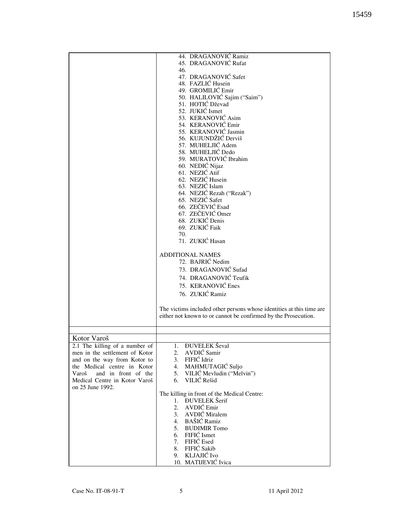|                                | 44. DRAGANOVIĆ Ramiz                                                                                                                   |
|--------------------------------|----------------------------------------------------------------------------------------------------------------------------------------|
|                                | 45. DRAGANOVIĆ Rufat                                                                                                                   |
|                                | 46.                                                                                                                                    |
|                                | 47. DRAGANOVIĆ Safet                                                                                                                   |
|                                | 48. FAZLIĆ Husein                                                                                                                      |
|                                |                                                                                                                                        |
|                                | 49. GROMILIĆ Emir                                                                                                                      |
|                                | 50. HALILOVIĆ Sajim ("Saim")                                                                                                           |
|                                | 51. HOTIĆ Dževad                                                                                                                       |
|                                | 52. JUKIĆ Ismet                                                                                                                        |
|                                | 53. KERANOVIĆ Asim                                                                                                                     |
|                                | 54. KERANOVIĆ Emir                                                                                                                     |
|                                |                                                                                                                                        |
|                                | 55. KERANOVIĆ Jasmin                                                                                                                   |
|                                | 56. KUJUNDŽIĆ Derviš                                                                                                                   |
|                                | 57. MUHELJIĆ Adem                                                                                                                      |
|                                | 58. MUHELJIĆ Dedo                                                                                                                      |
|                                | 59. MURATOVIĆ Ibrahim                                                                                                                  |
|                                |                                                                                                                                        |
|                                | 60. NEDIĆ Nijaz                                                                                                                        |
|                                | 61. NEZIĆ Atif                                                                                                                         |
|                                | 62. NEZIĆ Husein                                                                                                                       |
|                                | 63. NEZIĆ Islam                                                                                                                        |
|                                | 64. NEZIĆ Rezah ("Rezak")                                                                                                              |
|                                | 65. NEZIĆ Safet                                                                                                                        |
|                                |                                                                                                                                        |
|                                | 66. ZEČEVIĆ Esad                                                                                                                       |
|                                | 67. ZEČEVIĆ Omer                                                                                                                       |
|                                | 68. ZUKIĆ Denis                                                                                                                        |
|                                | 69. ZUKIĆ Faik                                                                                                                         |
|                                | 70.                                                                                                                                    |
|                                | 71. ZUKIĆ Hasan                                                                                                                        |
|                                |                                                                                                                                        |
|                                | <b>ADDITIONAL NAMES</b>                                                                                                                |
|                                | 72. BAJRIĆ Nedim                                                                                                                       |
|                                |                                                                                                                                        |
|                                | 73. DRAGANOVIĆ Sufad                                                                                                                   |
|                                | 74. DRAGANOVIĆ Teufik                                                                                                                  |
|                                | 75. KERANOVIĆ Enes                                                                                                                     |
|                                |                                                                                                                                        |
|                                | 76. ZUKIĆ Ramiz                                                                                                                        |
|                                |                                                                                                                                        |
|                                | The victims included other persons whose identities at this time are<br>either not known to or cannot be confirmed by the Prosecution. |
|                                |                                                                                                                                        |
| Kotor Varoš                    |                                                                                                                                        |
|                                |                                                                                                                                        |
| 2.1 The killing of a number of | <b>DUVELEK</b> Ševal<br>1.                                                                                                             |
| men in the settlement of Kotor | AVDIĆ Samir<br>2.                                                                                                                      |
| and on the way from Kotor to   | 3. FIFIĆ Idriz                                                                                                                         |
| the Medical centre in Kotor    | 4. MAHMUTAGIĆ Suljo                                                                                                                    |
| and in front of the<br>Varoš   | 5. VILIĆ Mevludin ("Melvin")                                                                                                           |
|                                | VILIĆ Rešid                                                                                                                            |
| Medical Centre in Kotor Varoš  | 6.                                                                                                                                     |
| on 25 June 1992.               |                                                                                                                                        |
|                                | The killing in front of the Medical Centre:                                                                                            |
|                                | 1. ĐUVELEK Šerif                                                                                                                       |
|                                | 2. AVDIĆ Emir                                                                                                                          |
|                                | 3. AVDIĆ Miralem                                                                                                                       |
|                                | 4. BAŠIĆ Ramiz                                                                                                                         |
|                                |                                                                                                                                        |
|                                | 5. BUDIMIR Tomo                                                                                                                        |
|                                | 6. FIFIĆ Ismet                                                                                                                         |
|                                | 7. FIFIĆ Esed                                                                                                                          |
|                                | 8. FIFIĆ Sakib                                                                                                                         |
|                                | 9. KLJAJIĆ Ivo                                                                                                                         |
|                                | 10. MATIJEVIĆ Ivica                                                                                                                    |
|                                |                                                                                                                                        |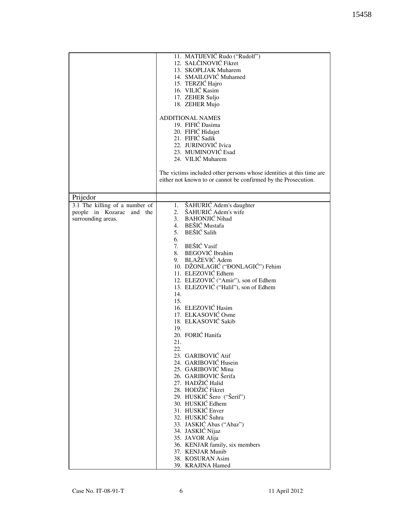| 11. MATIJEVIĆ Rudo ("Rudolf")<br>12. SALČINOVIĆ Fikret<br>13. SKOPLJAK Muharem<br>14. SMAILOVIĆ Muhamed<br>15. TERZIĆ Hajro<br>16. VILIĆ Kasim<br>17. ZEHER Suljo<br>18. ZEHER Mujo<br><b>ADDITIONAL NAMES</b><br>19. FIFIĆ Đasima<br>20. FIFIĆ Hidajet<br>21. FIFIĆ Sadik<br>22. JURINOVIĆ Ivica<br>23. MUMINOVIĆ Esad<br>24. VILIĆ Muharem<br>The victims included other persons whose identities at this time are<br>either not known to or cannot be confirmed by the Prosecution.<br>Prijedor<br>3.1 The killing of a number of<br>ŠAHURIĆ Adem's daughter<br>1.<br>ŠAHURIĆ Adem's wife<br>2.<br>people in Kozarac and the<br>3. BAHONJIĆ Nihad<br>surrounding areas.<br>4. BEŠIĆ Mustafa<br>5. BEŠIĆ Salih<br>6.<br>7. BEŠIĆ Vasif<br>8. BEGOVIĆ Ibrahim<br>9. BLAŽEVIĆ Adem<br>10. DŽONLAGIĆ ("ĐONLAGIĆ") Fehim<br>11. ELEZOVIĆ Edhem<br>12. ELEZOVIĆ ("Amir"), son of Edhem<br>13. ELEZOVIĆ ("Halil"), son of Edhem<br>14.<br>15.<br>16. ELEZOVIĆ Hasim<br>17. ELKASOVIĆ Osme<br>18. ELKASOVIĆ Sakib<br>19.<br>20. FORIĆ Hanifa<br>21.<br>22.<br>23. GARIBOVIĆ Atif<br>24. GARIBOVIĆ Husein<br>25. GARIBOVIĆ Mina<br>26. GARIBOVIC Šerifa<br>27. HADŽIĆ Halid<br>28. HODŽIĆ Fikret<br>29. HUSKIĆ Šero ("Šerif")<br>30. HUSKIĆ Edhem<br>31. HUSKIĆ Enver<br>32. HUSKIĆ Šuhra<br>33. JASKIĆ Abas ("Abaz")<br>34. JASKIĆ Nijaz<br>35. JAVOR Alija<br>36. KENJAR family, six members<br>37. KENJAR Munib<br>38. KOSURAN Asim<br>39. KRAJINA Hamed |  |
|-------------------------------------------------------------------------------------------------------------------------------------------------------------------------------------------------------------------------------------------------------------------------------------------------------------------------------------------------------------------------------------------------------------------------------------------------------------------------------------------------------------------------------------------------------------------------------------------------------------------------------------------------------------------------------------------------------------------------------------------------------------------------------------------------------------------------------------------------------------------------------------------------------------------------------------------------------------------------------------------------------------------------------------------------------------------------------------------------------------------------------------------------------------------------------------------------------------------------------------------------------------------------------------------------------------------------------------------------------------------------------------------------------------------------------------------------------|--|
|                                                                                                                                                                                                                                                                                                                                                                                                                                                                                                                                                                                                                                                                                                                                                                                                                                                                                                                                                                                                                                                                                                                                                                                                                                                                                                                                                                                                                                                       |  |
|                                                                                                                                                                                                                                                                                                                                                                                                                                                                                                                                                                                                                                                                                                                                                                                                                                                                                                                                                                                                                                                                                                                                                                                                                                                                                                                                                                                                                                                       |  |
|                                                                                                                                                                                                                                                                                                                                                                                                                                                                                                                                                                                                                                                                                                                                                                                                                                                                                                                                                                                                                                                                                                                                                                                                                                                                                                                                                                                                                                                       |  |
|                                                                                                                                                                                                                                                                                                                                                                                                                                                                                                                                                                                                                                                                                                                                                                                                                                                                                                                                                                                                                                                                                                                                                                                                                                                                                                                                                                                                                                                       |  |
|                                                                                                                                                                                                                                                                                                                                                                                                                                                                                                                                                                                                                                                                                                                                                                                                                                                                                                                                                                                                                                                                                                                                                                                                                                                                                                                                                                                                                                                       |  |
|                                                                                                                                                                                                                                                                                                                                                                                                                                                                                                                                                                                                                                                                                                                                                                                                                                                                                                                                                                                                                                                                                                                                                                                                                                                                                                                                                                                                                                                       |  |
|                                                                                                                                                                                                                                                                                                                                                                                                                                                                                                                                                                                                                                                                                                                                                                                                                                                                                                                                                                                                                                                                                                                                                                                                                                                                                                                                                                                                                                                       |  |
|                                                                                                                                                                                                                                                                                                                                                                                                                                                                                                                                                                                                                                                                                                                                                                                                                                                                                                                                                                                                                                                                                                                                                                                                                                                                                                                                                                                                                                                       |  |
|                                                                                                                                                                                                                                                                                                                                                                                                                                                                                                                                                                                                                                                                                                                                                                                                                                                                                                                                                                                                                                                                                                                                                                                                                                                                                                                                                                                                                                                       |  |
|                                                                                                                                                                                                                                                                                                                                                                                                                                                                                                                                                                                                                                                                                                                                                                                                                                                                                                                                                                                                                                                                                                                                                                                                                                                                                                                                                                                                                                                       |  |
|                                                                                                                                                                                                                                                                                                                                                                                                                                                                                                                                                                                                                                                                                                                                                                                                                                                                                                                                                                                                                                                                                                                                                                                                                                                                                                                                                                                                                                                       |  |
|                                                                                                                                                                                                                                                                                                                                                                                                                                                                                                                                                                                                                                                                                                                                                                                                                                                                                                                                                                                                                                                                                                                                                                                                                                                                                                                                                                                                                                                       |  |
|                                                                                                                                                                                                                                                                                                                                                                                                                                                                                                                                                                                                                                                                                                                                                                                                                                                                                                                                                                                                                                                                                                                                                                                                                                                                                                                                                                                                                                                       |  |
|                                                                                                                                                                                                                                                                                                                                                                                                                                                                                                                                                                                                                                                                                                                                                                                                                                                                                                                                                                                                                                                                                                                                                                                                                                                                                                                                                                                                                                                       |  |
|                                                                                                                                                                                                                                                                                                                                                                                                                                                                                                                                                                                                                                                                                                                                                                                                                                                                                                                                                                                                                                                                                                                                                                                                                                                                                                                                                                                                                                                       |  |
|                                                                                                                                                                                                                                                                                                                                                                                                                                                                                                                                                                                                                                                                                                                                                                                                                                                                                                                                                                                                                                                                                                                                                                                                                                                                                                                                                                                                                                                       |  |
|                                                                                                                                                                                                                                                                                                                                                                                                                                                                                                                                                                                                                                                                                                                                                                                                                                                                                                                                                                                                                                                                                                                                                                                                                                                                                                                                                                                                                                                       |  |
|                                                                                                                                                                                                                                                                                                                                                                                                                                                                                                                                                                                                                                                                                                                                                                                                                                                                                                                                                                                                                                                                                                                                                                                                                                                                                                                                                                                                                                                       |  |
|                                                                                                                                                                                                                                                                                                                                                                                                                                                                                                                                                                                                                                                                                                                                                                                                                                                                                                                                                                                                                                                                                                                                                                                                                                                                                                                                                                                                                                                       |  |
|                                                                                                                                                                                                                                                                                                                                                                                                                                                                                                                                                                                                                                                                                                                                                                                                                                                                                                                                                                                                                                                                                                                                                                                                                                                                                                                                                                                                                                                       |  |
|                                                                                                                                                                                                                                                                                                                                                                                                                                                                                                                                                                                                                                                                                                                                                                                                                                                                                                                                                                                                                                                                                                                                                                                                                                                                                                                                                                                                                                                       |  |
|                                                                                                                                                                                                                                                                                                                                                                                                                                                                                                                                                                                                                                                                                                                                                                                                                                                                                                                                                                                                                                                                                                                                                                                                                                                                                                                                                                                                                                                       |  |
|                                                                                                                                                                                                                                                                                                                                                                                                                                                                                                                                                                                                                                                                                                                                                                                                                                                                                                                                                                                                                                                                                                                                                                                                                                                                                                                                                                                                                                                       |  |
|                                                                                                                                                                                                                                                                                                                                                                                                                                                                                                                                                                                                                                                                                                                                                                                                                                                                                                                                                                                                                                                                                                                                                                                                                                                                                                                                                                                                                                                       |  |
|                                                                                                                                                                                                                                                                                                                                                                                                                                                                                                                                                                                                                                                                                                                                                                                                                                                                                                                                                                                                                                                                                                                                                                                                                                                                                                                                                                                                                                                       |  |
|                                                                                                                                                                                                                                                                                                                                                                                                                                                                                                                                                                                                                                                                                                                                                                                                                                                                                                                                                                                                                                                                                                                                                                                                                                                                                                                                                                                                                                                       |  |
|                                                                                                                                                                                                                                                                                                                                                                                                                                                                                                                                                                                                                                                                                                                                                                                                                                                                                                                                                                                                                                                                                                                                                                                                                                                                                                                                                                                                                                                       |  |
|                                                                                                                                                                                                                                                                                                                                                                                                                                                                                                                                                                                                                                                                                                                                                                                                                                                                                                                                                                                                                                                                                                                                                                                                                                                                                                                                                                                                                                                       |  |
|                                                                                                                                                                                                                                                                                                                                                                                                                                                                                                                                                                                                                                                                                                                                                                                                                                                                                                                                                                                                                                                                                                                                                                                                                                                                                                                                                                                                                                                       |  |
|                                                                                                                                                                                                                                                                                                                                                                                                                                                                                                                                                                                                                                                                                                                                                                                                                                                                                                                                                                                                                                                                                                                                                                                                                                                                                                                                                                                                                                                       |  |
|                                                                                                                                                                                                                                                                                                                                                                                                                                                                                                                                                                                                                                                                                                                                                                                                                                                                                                                                                                                                                                                                                                                                                                                                                                                                                                                                                                                                                                                       |  |
|                                                                                                                                                                                                                                                                                                                                                                                                                                                                                                                                                                                                                                                                                                                                                                                                                                                                                                                                                                                                                                                                                                                                                                                                                                                                                                                                                                                                                                                       |  |
|                                                                                                                                                                                                                                                                                                                                                                                                                                                                                                                                                                                                                                                                                                                                                                                                                                                                                                                                                                                                                                                                                                                                                                                                                                                                                                                                                                                                                                                       |  |
|                                                                                                                                                                                                                                                                                                                                                                                                                                                                                                                                                                                                                                                                                                                                                                                                                                                                                                                                                                                                                                                                                                                                                                                                                                                                                                                                                                                                                                                       |  |
|                                                                                                                                                                                                                                                                                                                                                                                                                                                                                                                                                                                                                                                                                                                                                                                                                                                                                                                                                                                                                                                                                                                                                                                                                                                                                                                                                                                                                                                       |  |
|                                                                                                                                                                                                                                                                                                                                                                                                                                                                                                                                                                                                                                                                                                                                                                                                                                                                                                                                                                                                                                                                                                                                                                                                                                                                                                                                                                                                                                                       |  |
|                                                                                                                                                                                                                                                                                                                                                                                                                                                                                                                                                                                                                                                                                                                                                                                                                                                                                                                                                                                                                                                                                                                                                                                                                                                                                                                                                                                                                                                       |  |
|                                                                                                                                                                                                                                                                                                                                                                                                                                                                                                                                                                                                                                                                                                                                                                                                                                                                                                                                                                                                                                                                                                                                                                                                                                                                                                                                                                                                                                                       |  |
|                                                                                                                                                                                                                                                                                                                                                                                                                                                                                                                                                                                                                                                                                                                                                                                                                                                                                                                                                                                                                                                                                                                                                                                                                                                                                                                                                                                                                                                       |  |
|                                                                                                                                                                                                                                                                                                                                                                                                                                                                                                                                                                                                                                                                                                                                                                                                                                                                                                                                                                                                                                                                                                                                                                                                                                                                                                                                                                                                                                                       |  |
|                                                                                                                                                                                                                                                                                                                                                                                                                                                                                                                                                                                                                                                                                                                                                                                                                                                                                                                                                                                                                                                                                                                                                                                                                                                                                                                                                                                                                                                       |  |
|                                                                                                                                                                                                                                                                                                                                                                                                                                                                                                                                                                                                                                                                                                                                                                                                                                                                                                                                                                                                                                                                                                                                                                                                                                                                                                                                                                                                                                                       |  |
|                                                                                                                                                                                                                                                                                                                                                                                                                                                                                                                                                                                                                                                                                                                                                                                                                                                                                                                                                                                                                                                                                                                                                                                                                                                                                                                                                                                                                                                       |  |
|                                                                                                                                                                                                                                                                                                                                                                                                                                                                                                                                                                                                                                                                                                                                                                                                                                                                                                                                                                                                                                                                                                                                                                                                                                                                                                                                                                                                                                                       |  |
|                                                                                                                                                                                                                                                                                                                                                                                                                                                                                                                                                                                                                                                                                                                                                                                                                                                                                                                                                                                                                                                                                                                                                                                                                                                                                                                                                                                                                                                       |  |
|                                                                                                                                                                                                                                                                                                                                                                                                                                                                                                                                                                                                                                                                                                                                                                                                                                                                                                                                                                                                                                                                                                                                                                                                                                                                                                                                                                                                                                                       |  |
|                                                                                                                                                                                                                                                                                                                                                                                                                                                                                                                                                                                                                                                                                                                                                                                                                                                                                                                                                                                                                                                                                                                                                                                                                                                                                                                                                                                                                                                       |  |
|                                                                                                                                                                                                                                                                                                                                                                                                                                                                                                                                                                                                                                                                                                                                                                                                                                                                                                                                                                                                                                                                                                                                                                                                                                                                                                                                                                                                                                                       |  |
|                                                                                                                                                                                                                                                                                                                                                                                                                                                                                                                                                                                                                                                                                                                                                                                                                                                                                                                                                                                                                                                                                                                                                                                                                                                                                                                                                                                                                                                       |  |
|                                                                                                                                                                                                                                                                                                                                                                                                                                                                                                                                                                                                                                                                                                                                                                                                                                                                                                                                                                                                                                                                                                                                                                                                                                                                                                                                                                                                                                                       |  |
|                                                                                                                                                                                                                                                                                                                                                                                                                                                                                                                                                                                                                                                                                                                                                                                                                                                                                                                                                                                                                                                                                                                                                                                                                                                                                                                                                                                                                                                       |  |
|                                                                                                                                                                                                                                                                                                                                                                                                                                                                                                                                                                                                                                                                                                                                                                                                                                                                                                                                                                                                                                                                                                                                                                                                                                                                                                                                                                                                                                                       |  |
|                                                                                                                                                                                                                                                                                                                                                                                                                                                                                                                                                                                                                                                                                                                                                                                                                                                                                                                                                                                                                                                                                                                                                                                                                                                                                                                                                                                                                                                       |  |
|                                                                                                                                                                                                                                                                                                                                                                                                                                                                                                                                                                                                                                                                                                                                                                                                                                                                                                                                                                                                                                                                                                                                                                                                                                                                                                                                                                                                                                                       |  |
|                                                                                                                                                                                                                                                                                                                                                                                                                                                                                                                                                                                                                                                                                                                                                                                                                                                                                                                                                                                                                                                                                                                                                                                                                                                                                                                                                                                                                                                       |  |
|                                                                                                                                                                                                                                                                                                                                                                                                                                                                                                                                                                                                                                                                                                                                                                                                                                                                                                                                                                                                                                                                                                                                                                                                                                                                                                                                                                                                                                                       |  |
|                                                                                                                                                                                                                                                                                                                                                                                                                                                                                                                                                                                                                                                                                                                                                                                                                                                                                                                                                                                                                                                                                                                                                                                                                                                                                                                                                                                                                                                       |  |
|                                                                                                                                                                                                                                                                                                                                                                                                                                                                                                                                                                                                                                                                                                                                                                                                                                                                                                                                                                                                                                                                                                                                                                                                                                                                                                                                                                                                                                                       |  |
|                                                                                                                                                                                                                                                                                                                                                                                                                                                                                                                                                                                                                                                                                                                                                                                                                                                                                                                                                                                                                                                                                                                                                                                                                                                                                                                                                                                                                                                       |  |
|                                                                                                                                                                                                                                                                                                                                                                                                                                                                                                                                                                                                                                                                                                                                                                                                                                                                                                                                                                                                                                                                                                                                                                                                                                                                                                                                                                                                                                                       |  |
|                                                                                                                                                                                                                                                                                                                                                                                                                                                                                                                                                                                                                                                                                                                                                                                                                                                                                                                                                                                                                                                                                                                                                                                                                                                                                                                                                                                                                                                       |  |
|                                                                                                                                                                                                                                                                                                                                                                                                                                                                                                                                                                                                                                                                                                                                                                                                                                                                                                                                                                                                                                                                                                                                                                                                                                                                                                                                                                                                                                                       |  |
|                                                                                                                                                                                                                                                                                                                                                                                                                                                                                                                                                                                                                                                                                                                                                                                                                                                                                                                                                                                                                                                                                                                                                                                                                                                                                                                                                                                                                                                       |  |
|                                                                                                                                                                                                                                                                                                                                                                                                                                                                                                                                                                                                                                                                                                                                                                                                                                                                                                                                                                                                                                                                                                                                                                                                                                                                                                                                                                                                                                                       |  |
|                                                                                                                                                                                                                                                                                                                                                                                                                                                                                                                                                                                                                                                                                                                                                                                                                                                                                                                                                                                                                                                                                                                                                                                                                                                                                                                                                                                                                                                       |  |
|                                                                                                                                                                                                                                                                                                                                                                                                                                                                                                                                                                                                                                                                                                                                                                                                                                                                                                                                                                                                                                                                                                                                                                                                                                                                                                                                                                                                                                                       |  |
|                                                                                                                                                                                                                                                                                                                                                                                                                                                                                                                                                                                                                                                                                                                                                                                                                                                                                                                                                                                                                                                                                                                                                                                                                                                                                                                                                                                                                                                       |  |
|                                                                                                                                                                                                                                                                                                                                                                                                                                                                                                                                                                                                                                                                                                                                                                                                                                                                                                                                                                                                                                                                                                                                                                                                                                                                                                                                                                                                                                                       |  |
|                                                                                                                                                                                                                                                                                                                                                                                                                                                                                                                                                                                                                                                                                                                                                                                                                                                                                                                                                                                                                                                                                                                                                                                                                                                                                                                                                                                                                                                       |  |
|                                                                                                                                                                                                                                                                                                                                                                                                                                                                                                                                                                                                                                                                                                                                                                                                                                                                                                                                                                                                                                                                                                                                                                                                                                                                                                                                                                                                                                                       |  |
|                                                                                                                                                                                                                                                                                                                                                                                                                                                                                                                                                                                                                                                                                                                                                                                                                                                                                                                                                                                                                                                                                                                                                                                                                                                                                                                                                                                                                                                       |  |
|                                                                                                                                                                                                                                                                                                                                                                                                                                                                                                                                                                                                                                                                                                                                                                                                                                                                                                                                                                                                                                                                                                                                                                                                                                                                                                                                                                                                                                                       |  |
|                                                                                                                                                                                                                                                                                                                                                                                                                                                                                                                                                                                                                                                                                                                                                                                                                                                                                                                                                                                                                                                                                                                                                                                                                                                                                                                                                                                                                                                       |  |
|                                                                                                                                                                                                                                                                                                                                                                                                                                                                                                                                                                                                                                                                                                                                                                                                                                                                                                                                                                                                                                                                                                                                                                                                                                                                                                                                                                                                                                                       |  |
|                                                                                                                                                                                                                                                                                                                                                                                                                                                                                                                                                                                                                                                                                                                                                                                                                                                                                                                                                                                                                                                                                                                                                                                                                                                                                                                                                                                                                                                       |  |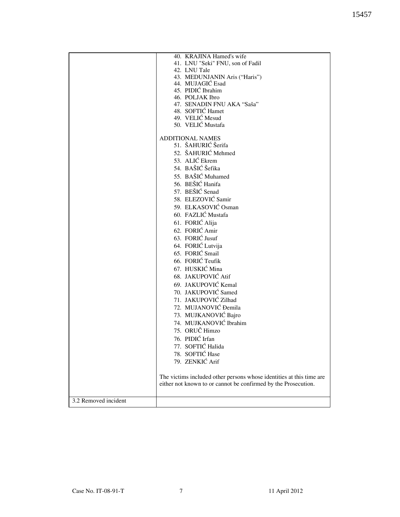|                      | 40. KRAJINA Hamed's wife                                             |
|----------------------|----------------------------------------------------------------------|
|                      | 41. LNU "Seki" FNU, son of Fadil                                     |
|                      | 42. LNU Tale                                                         |
|                      | 43. MEDUNJANIN Aris ("Haris")                                        |
|                      | 44. MUJAGIĆ Esad                                                     |
|                      | 45. PIDIĆ Ibrahim                                                    |
|                      | 46. POLJAK Ibro                                                      |
|                      | 47. SENADIN FNU AKA "Saša"                                           |
|                      | 48. SOFTIĆ Hamet                                                     |
|                      | 49. VELIĆ Mesud                                                      |
|                      | 50. VELIĆ Mustafa                                                    |
|                      |                                                                      |
|                      | <b>ADDITIONAL NAMES</b>                                              |
|                      | 51. ŠAHURIĆ Šerifa                                                   |
|                      |                                                                      |
|                      | 52. ŠAHURIĆ Mehmed                                                   |
|                      | 53. ALIĆ Ekrem                                                       |
|                      | 54. BAŠIĆ Šefika                                                     |
|                      | 55. BAŠIĆ Muhamed                                                    |
|                      | 56. BEŠIĆ Hanifa                                                     |
|                      |                                                                      |
|                      | 57. BEŠIĆ Senad                                                      |
|                      | 58. ELEZOVIĆ Samir                                                   |
|                      | 59. ELKASOVIĆ Osman                                                  |
|                      | 60. FAZLIĆ Mustafa                                                   |
|                      | 61. FORIĆ Alija                                                      |
|                      | 62. FORIĆ Amir                                                       |
|                      |                                                                      |
|                      | 63. FORIĆ Jusuf                                                      |
|                      | 64. FORIĆ Lutvija                                                    |
|                      | 65. FORIĆ Smail                                                      |
|                      | 66. FORIĆ Teufik                                                     |
|                      | 67. HUSKIĆ Mina                                                      |
|                      | 68. JAKUPOVIĆ Atif                                                   |
|                      |                                                                      |
|                      | 69. JAKUPOVIĆ Kemal                                                  |
|                      | 70. JAKUPOVIĆ Samed                                                  |
|                      | 71. JAKUPOVIĆ Zilhad                                                 |
|                      | 72. MUJANOVIĆ Đemila                                                 |
|                      | 73. MUJKANOVIĆ Bajro                                                 |
|                      | 74. MUJKANOVIĆ Ibrahim                                               |
|                      | 75. ORUČ Himzo                                                       |
|                      |                                                                      |
|                      | 76. PIDIĆ Irfan                                                      |
|                      | 77. SOFTIĆ Halida                                                    |
|                      | 78. SOFTIĆ Hase                                                      |
|                      | 79. ZENKIĆ Arif                                                      |
|                      |                                                                      |
|                      | The victims included other persons whose identities at this time are |
|                      | either not known to or cannot be confirmed by the Prosecution.       |
|                      |                                                                      |
|                      |                                                                      |
| 3.2 Removed incident |                                                                      |
|                      |                                                                      |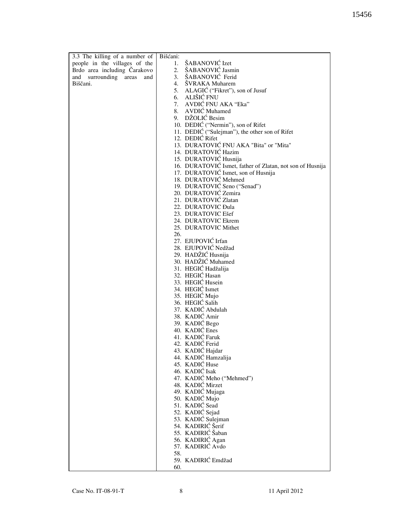| 3.3 The killing of a number of | Bišćani:                                                  |
|--------------------------------|-----------------------------------------------------------|
| people in the villages of the  | 1. ŠABANOVIĆ Izet                                         |
| Brdo area including Čarakovo   | ŠABANOVIĆ Jasmin<br>2.                                    |
| and surrounding areas<br>and   | ŠABANOVIĆ Ferid<br>3.                                     |
| Biščani.                       | 4.<br>ŠVRAKA Muharem                                      |
|                                | 5. ALAGIĆ ("Fikret"), son of Jusuf                        |
|                                | 6. ALIŠIĆ FNU                                             |
|                                | 7. AVDIĆ FNU AKA "Eka"                                    |
|                                | 8. AVDIĆ Muhamed                                          |
|                                | 9. DŽOLIĆ Besim                                           |
|                                | 10. DEDIĆ ("Nermin"), son of Rifet                        |
|                                | 11. DEDIĆ ("Sulejman"), the other son of Rifet            |
|                                | 12. DEDIĆ Rifet                                           |
|                                | 13. DURATOVIĆ FNU AKA "Bita" or "Mita"                    |
|                                | 14. DURATOVIĆ Hazim                                       |
|                                | 15. DURATOVIĆ Husnija                                     |
|                                | 16. DURATOVIĆ Ismet, father of Zlatan, not son of Husnija |
|                                | 17. DURATOVIĆ Ismet, son of Husnija                       |
|                                | 18. DURATOVIĆ Mehmed                                      |
|                                | 19. DURATOVIĆ Seno ("Senad")                              |
|                                | 20. DURATOVIĆ Zemira                                      |
|                                | 21. DURATOVIĆ Zlatan                                      |
|                                | 22. DURATOVIC Đula                                        |
|                                | 23. DURATOVIC Ešef                                        |
|                                | 24. DURATOVIC Ekrem                                       |
|                                | 25. DURATOVIC Mithet                                      |
|                                | 26.                                                       |
|                                | 27. EJUPOVIĆ Irfan                                        |
|                                | 28. EJUPOVIĆ Nedžad                                       |
|                                | 29. HADŽIĆ Husnija                                        |
|                                | 30. HADŽIĆ Muhamed                                        |
|                                | 31. HEGIĆ Hadžalija                                       |
|                                | 32. HEGIĆ Hasan                                           |
|                                | 33. HEGIĆ Husein                                          |
|                                | 34. HEGIĆ Ismet                                           |
|                                | 35. HEGIĆ Mujo                                            |
|                                | 36. HEGIĆ Salih                                           |
|                                | 37. KADIĆ Abdulah                                         |
|                                | 38. KADIĆ Amir                                            |
|                                | 39. KADIĆ Bego                                            |
|                                | 40. KADIĆ Enes                                            |
|                                | 41. KADIĆ Faruk                                           |
|                                | 42. KADIĆ Ferid                                           |
|                                | 43. KADIĆ Hajdar                                          |
|                                | 44. KADIĆ Hamzalija                                       |
|                                | 45. KADIĆ Huse                                            |
|                                | 46. KADIĆ Isak                                            |
|                                | 47. KADIĆ Meho ("Mehmed")                                 |
|                                | 48. KADIĆ Mirzet                                          |
|                                | 49. KADIĆ Mujaga                                          |
|                                | 50. KADIĆ Mujo                                            |
|                                | 51. KADIĆ Sead                                            |
|                                | 52. KADIĆ Sejad                                           |
|                                | 53. KADIĆ Sulejman                                        |
|                                | 54. KADIRIĆ Šerif                                         |
|                                | 55. KADIRIĆ Šaban                                         |
|                                | 56. KADIRIĆ Agan                                          |
|                                | 57. KADIRIĆ Avdo                                          |
|                                | 58.                                                       |
|                                | 59. KADIRIĆ Emdžad                                        |
|                                | 60.                                                       |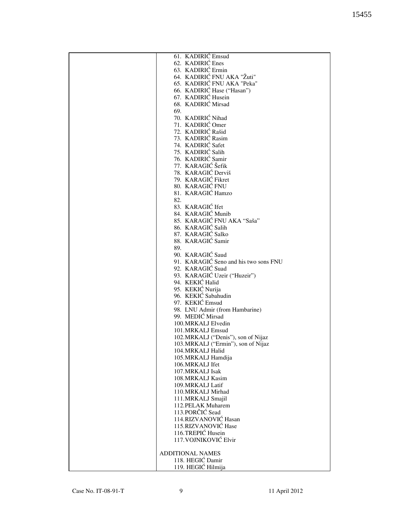| 61. KADIRIĆ Emsud                     |
|---------------------------------------|
| 62. KADIRIĆ Enes                      |
| 63. KADIRIĆ Ermin                     |
| 64. KADIRIĆ FNU AKA "Žuti"            |
| 65. KADIRIĆ FNU AKA "Peka"            |
| 66. KADIRIĆ Hase ("Hasan")            |
| 67. KADIRIĆ Husein                    |
| 68. KADIRIĆ Mirsad                    |
| 69.                                   |
|                                       |
| 70. KADIRIĆ Nihad                     |
| 71. KADIRIĆ Omer                      |
| 72. KADIRIĆ Rašid                     |
| 73. KADIRIĆ Rasim                     |
| 74. KADIRIĆ Safet                     |
| 75. KADIRIĆ Salih                     |
| 76. KADIRIĆ Samir                     |
| 77. KARAGIĆ Šefik                     |
| 78. KARAGIĆ Derviš                    |
| 79. KARAGIĆ Fikret                    |
| 80. KARAGIĆ FNU                       |
| 81. KARAGIĆ Hamzo                     |
| 82.                                   |
| 83. KARAGIĆ Ifet                      |
| 84. KARAGIĆ Munib                     |
| 85. KARAGIĆ FNU AKA "Saša"            |
| 86. KARAGIĆ Salih                     |
|                                       |
| 87. KARAGIĆ Salko                     |
| 88. KARAGIĆ Samir                     |
| 89.                                   |
| 90. KARAGIĆ Saud                      |
| 91. KARAGIĆ Seno and his two sons FNU |
| 92. KARAGIĆ Suad                      |
| 93. KARAGIĆ Uzeir ("Huzeir")          |
| 94. KEKIĆ Halid                       |
| 95. KEKIĆ Nurija                      |
| 96. KEKIĆ Sabahudin                   |
| 97. KEKIĆ Emsud                       |
| 98. LNU Admir (from Hambarine)        |
| 99. MEDIĆ Mirsad                      |
| 100.MRKALJ Elvedin                    |
| 101.MRKALJ Emsud                      |
| 102. MRKALJ ("Denis"), son of Nijaz   |
| 103.MRKALJ ("Ermin"), son of Nijaz    |
|                                       |
| 104.MRKALJ Halid                      |
| 105.MRKALJ Hamdija                    |
| 106.MRKALJ Ifet                       |
| 107. MRKALJ Isak                      |
| 108.MRKALJ Kasim                      |
| 109. MRKALJ Latif                     |
| 110.MRKALJ Mirhad                     |
| 111.MRKALJ Smajil                     |
| 112. PELAK Muharem                    |
| 113.PORČIĆ Sead                       |
| 114.RIZVANOVIĆ Hasan                  |
| 115.RIZVANOVIĆ Hase                   |
| 116.TREPIĆ Husein                     |
| 117. VOJNIKOVIĆ Elvir                 |
|                                       |
| <b>ADDITIONAL NAMES</b>               |
| 118. HEGIĆ Damir                      |
|                                       |
| 119. HEGIĆ Hilmija                    |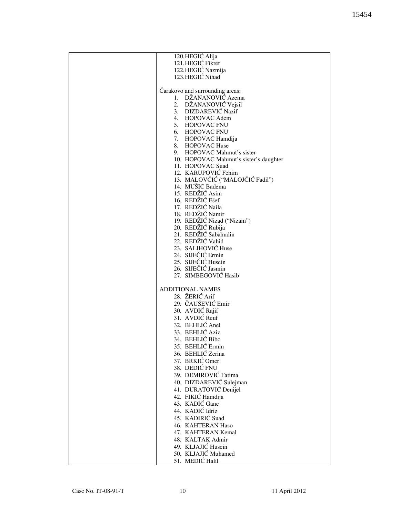| 120.HEGIĆ Alija                        |
|----------------------------------------|
| 121.HEGIĆ Fikret                       |
| 122.HEGIĆ Nazmija                      |
|                                        |
| 123.HEGIĆ Nihad                        |
|                                        |
|                                        |
| Čarakovo and surrounding areas:        |
| 1. DŽANANOVIĆ Azema                    |
| 2. DŽANANOVIĆ Vejsil                   |
| 3. DIZDAREVIĆ Nazif                    |
|                                        |
| 4. HOPOVAC Adem                        |
| 5. HOPOVAC FNU                         |
| 6. HOPOVAC FNU                         |
|                                        |
| 7. HOPOVAC Hamdija                     |
| 8. HOPOVAC Huse                        |
| 9. HOPOVAC Mahmut's sister             |
|                                        |
| 10. HOPOVAC Mahmut's sister's daughter |
| 11. HOPOVAC Suad                       |
| 12. KARUPOVIĆ Fehim                    |
|                                        |
| 13. MALOVČIĆ ("MALOJČIĆ Fadil")        |
| 14. MUŠIC Badema                       |
| 15. REDŽIĆ Asim                        |
| 16. REDŽIĆ Ešef                        |
|                                        |
| 17. REDŽIĆ Naila                       |
| 18. REDŽIĆ Namir                       |
| 19. REDŽIĆ Nizad ("Nizam")             |
| 20. REDŽIĆ Rubija                      |
|                                        |
| 21. REDŽIĆ Sabahudin                   |
| 22. REDŽIĆ Vahid                       |
| 23. SALIHOVIĆ Huse                     |
|                                        |
| 24. SIJEČIĆ Ermin                      |
| 25. SIJEČIĆ Husein                     |
| 26. SIJEČIĆ Jasmin                     |
| 27. SIMBEGOVIĆ Hasib                   |
|                                        |
|                                        |
| <b>ADDITIONAL NAMES</b>                |
| 28. ŽERIĆ Arif                         |
|                                        |
| 29. ČAUŠEVIĆ Emir                      |
| 30. AVDIĆ Rajif                        |
| 31. AVDIĆ Reuf                         |
|                                        |
| 32. BEHLIĆ Anel                        |
| 33. BEHLIĆ Aziz                        |
| 34. BEHLIĆ Bibo                        |
|                                        |
| 35. BEHLIĆ Ermin                       |
| 36. BEHLIĆ Zerina                      |
| 37. BRKIĆ Omer                         |
|                                        |
| 38. DEDIĆ FNU                          |
| 39. DEMIROVIĆ Fatima                   |
| 40. DIZDAREVIĆ Sulejman                |
|                                        |
| 41. DURATOVIĆ Denijel                  |
| 42. FIKIĆ Hamdija                      |
| 43. KADIĆ Gane                         |
| 44. KADIĆ Idriz                        |
|                                        |
| 45. KADIRIĆ Suad                       |
| 46. KAHTERAN Haso                      |
| 47. KAHTERAN Kemal                     |
|                                        |
| 48. KALTAK Admir                       |
| 49. KLJAJIĆ Husein                     |
| 50. KLJAJIĆ Muhamed                    |
|                                        |
| 51. MEDIĆ Halil                        |
|                                        |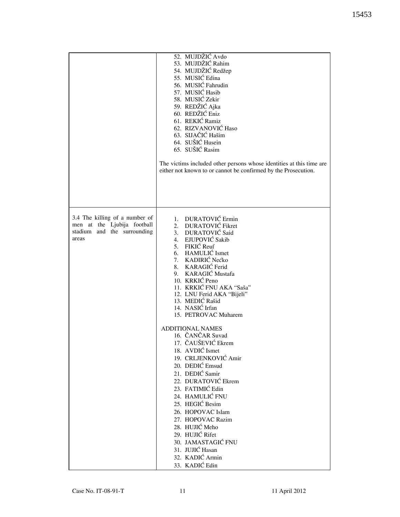|                                                                                                       | 52. MUJDŽIĆ Avdo<br>53. MUJDŽIĆ Rahim<br>54. MUJDŽIĆ Redžep<br>55. MUSIĆ Edina<br>56. MUSIĆ Fahrudin<br>57. MUSIĆ Hasib<br>58. MUSIĆ Zekir<br>59. REDŽIĆ Ajka<br>60. REDŽIĆ Eniz<br>61. REKIĆ Ramiz<br>62. RIZVANOVIĆ Haso<br>63. SIJAČIĆ Hašim<br>64. SUŠIĆ Husein<br>65. SUŠIĆ Rasim<br>The victims included other persons whose identities at this time are<br>either not known to or cannot be confirmed by the Prosecution. |
|-------------------------------------------------------------------------------------------------------|----------------------------------------------------------------------------------------------------------------------------------------------------------------------------------------------------------------------------------------------------------------------------------------------------------------------------------------------------------------------------------------------------------------------------------|
| 3.4 The killing of a number of<br>men at the Ljubija football<br>stadium and the surrounding<br>areas | 1. DURATOVIĆ Ermin<br>2. DURATOVIĆ Fikret<br>3. DURATOVIĆ Said<br>4. EJUPOVIĆ Sakib<br>5. FIKIĆ Reuf<br>6. HAMULIĆ Ismet<br>7. KADIRIĆ Nećko<br>8. KARAGIĆ Ferid<br>9. KARAGIĆ Mustafa<br>10. KRKIĆ Peno<br>11. KRKIĆ FNU AKA "Saša"<br>12. LNU Ferid AKA "Bijeli"<br>13. MEDIĆ Rašid<br>14. NASIĆ Irfan<br>15. PETROVAC Muharem                                                                                                 |
|                                                                                                       | <b>ADDITIONAL NAMES</b><br>16. ČANČAR Suvad<br>17. ČAUŠEVIĆ Ekrem<br>18. AVDIĆ Ismet<br>19. CRLJENKOVIĆ Amir<br>20. DEDIĆ Emsud<br>21. DEDIĆ Samir<br>22. DURATOVIĆ Ekrem<br>23. FATIMIĆ Edin<br>24. HAMULIĆ FNU<br>25. HEGIĆ Besim<br>26. HOPOVAC Islam<br>27. HOPOVAC Razim<br>28. HUJIĆ Meho<br>29. HUJIĆ Rifet<br>30. JAMASTAGIĆ FNU<br>31. JUJIĆ Hasan<br>32. KADIĆ Armin                                                   |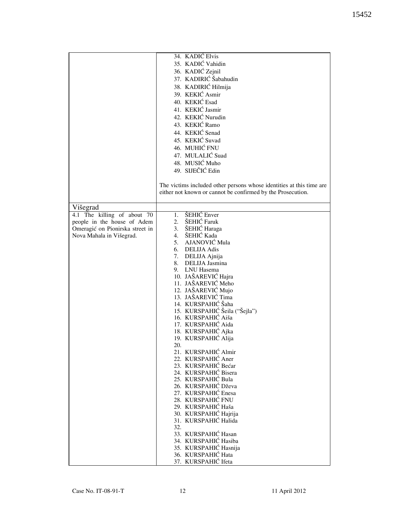|                                 | 34. KADIĆ Elvis                                                      |
|---------------------------------|----------------------------------------------------------------------|
|                                 | 35. KADIĆ Vahidin                                                    |
|                                 | 36. KADIĆ Zejnil                                                     |
|                                 | 37. KADIRIĆ Šabahudin                                                |
|                                 | 38. KADIRIĆ Hilmija                                                  |
|                                 | 39. KEKIĆ Asmir                                                      |
|                                 |                                                                      |
|                                 | 40. KEKIĆ Esad                                                       |
|                                 | 41. KEKIĆ Jasmir                                                     |
|                                 | 42. KEKIĆ Nurudin                                                    |
|                                 | 43. KEKIĆ Ramo                                                       |
|                                 | 44. KEKIĆ Senad                                                      |
|                                 | 45. KEKIĆ Suvad                                                      |
|                                 | 46. MUHIĆ FNU                                                        |
|                                 |                                                                      |
|                                 | 47. MULALIĆ Suad                                                     |
|                                 | 48. MUSIĆ Muho                                                       |
|                                 | 49. SIJEČIĆ Edin                                                     |
|                                 |                                                                      |
|                                 | The victims included other persons whose identities at this time are |
|                                 | either not known or cannot be confirmed by the Prosecution.          |
|                                 |                                                                      |
| Višegrad                        |                                                                      |
|                                 | 1. ŠEHIĆ Enver                                                       |
| 4.1 The killing of about 70     |                                                                      |
| people in the house of Adem     | 2. ŠEHIĆ Faruk                                                       |
| Omeragić on Pionirska street in | 3. ŠEHIĆ Haraga                                                      |
| Nova Mahala in Višegrad.        | 4. ŠEHIĆ Kada                                                        |
|                                 | 5. AJANOVIĆ Mula                                                     |
|                                 | 6. DELIJA Adis                                                       |
|                                 | 7. DELIJA Ajnija                                                     |
|                                 | 8. DELIJA Jasmina                                                    |
|                                 | 9. LNU Hasema                                                        |
|                                 | 10. JAŠAREVIĆ Hajra                                                  |
|                                 | 11. JAŠAREVIĆ Meho                                                   |
|                                 | 12. JAŠAREVIĆ Mujo                                                   |
|                                 | 13. JAŠAREVIĆ Tima                                                   |
|                                 | 14. KURSPAHIĆ Šaha                                                   |
|                                 | 15. KURSPAHIĆ Šeila ("Šejla")                                        |
|                                 | 16. KURSPAHIĆ Aiša                                                   |
|                                 | 17. KURSPAHIĆ Aida                                                   |
|                                 | 18. KURSPAHIĆ Ajka                                                   |
|                                 | 19. KURSPAHIĆ Alija                                                  |
|                                 | 20.                                                                  |
|                                 | 21. KURSPAHIĆ Almir                                                  |
|                                 | 22. KURSPAHIĆ Aner                                                   |
|                                 | 23. KURSPAHIĆ Bećar                                                  |
|                                 | 24. KURSPAHIĆ Bisera                                                 |
|                                 | 25. KURSPAHIĆ Bula                                                   |
|                                 | 26. KURSPAHIĆ Dževa                                                  |
|                                 | 27. KURSPAHIĆ Enesa                                                  |
|                                 | 28. KURSPAHIĆ FNU                                                    |
|                                 | 29. KURSPAHIĆ Haša                                                   |
|                                 | 30. KURSPAHIĆ Hajrija                                                |
|                                 | 31. KURSPAHIĆ Halida                                                 |
|                                 | 32.                                                                  |
|                                 | 33. KURSPAHIĆ Hasan                                                  |
|                                 |                                                                      |
|                                 | 34. KURSPAHIĆ Hasiba                                                 |
|                                 | 35. KURSPAHIĆ Hasnija                                                |
|                                 | 36. KURSPAHIĆ Hata                                                   |
|                                 | 37. KURSPAHIĆ Ifeta                                                  |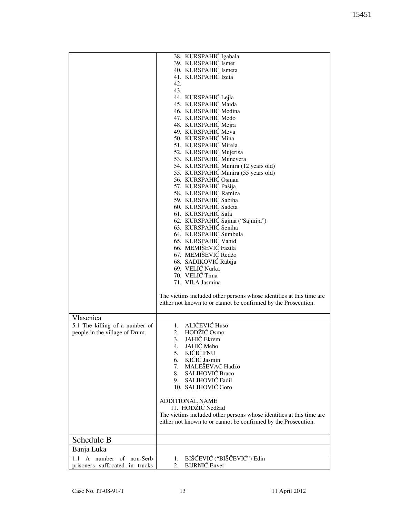|                                | 38. KURSPAHIĆ Igabala                                                |
|--------------------------------|----------------------------------------------------------------------|
|                                | 39. KURSPAHIĆ Ismet                                                  |
|                                | 40. KURSPAHIĆ Ismeta                                                 |
|                                | 41. KURSPAHIĆ Izeta                                                  |
|                                | 42.                                                                  |
|                                | 43.                                                                  |
|                                | 44. KURSPAHIĆ Lejla                                                  |
|                                | 45. KURSPAHIĆ Maida                                                  |
|                                | 46. KURSPAHIĆ Medina                                                 |
|                                | 47. KURSPAHIĆ Medo                                                   |
|                                | 48. KURSPAHIĆ Mejra                                                  |
|                                | 49. KURSPAHIĆ Meva                                                   |
|                                | 50. KURSPAHIĆ Mina                                                   |
|                                | 51. KURSPAHIĆ Mirela                                                 |
|                                | 52. KURSPAHIĆ Mujerisa                                               |
|                                | 53. KURSPAHIĆ Munevera                                               |
|                                | 54. KURSPAHIĆ Munira (12 years old)                                  |
|                                | 55. KURSPAHIĆ Munira (55 years old)                                  |
|                                | 56. KURSPAHIĆ Osman                                                  |
|                                | 57. KURSPAHIĆ Pašija                                                 |
|                                | 58. KURSPAHIĆ Ramiza                                                 |
|                                | 59. KURSPAHIĆ Sabiha                                                 |
|                                | 60. KURSPAHIĆ Sadeta                                                 |
|                                | 61. KURSPAHIĆ Safa                                                   |
|                                | 62. KURSPAHIĆ Sajma ("Sajmija")                                      |
|                                | 63. KURSPAHIĆ Seniha                                                 |
|                                | 64. KURSPAHIĆ Sumbula                                                |
|                                | 65. KURSPAHIĆ Vahid                                                  |
|                                | 66. MEMIŠEVIĆ Fazila                                                 |
|                                | 67. MEMIŠEVIĆ Redžo                                                  |
|                                | 68. SADIKOVIĆ Rabija                                                 |
|                                | 69. VELIĆ Nurka                                                      |
|                                | 70. VELIĆ Tima                                                       |
|                                | 71. VILA Jasmina                                                     |
|                                |                                                                      |
|                                | The victims included other persons whose identities at this time are |
|                                | either not known to or cannot be confirmed by the Prosecution.       |
|                                |                                                                      |
| Vlasenica                      |                                                                      |
| 5.1 The killing of a number of | 1. ALIČEVIĆ Huso                                                     |
| people in the village of Drum. | HODŽIĆ Osmo<br>2.                                                    |
|                                | <b>JAHIĆ</b> Ekrem<br>3.                                             |
|                                | JAHIĆ Meho<br>4.                                                     |
|                                | KIČIĆ FNU<br>5.                                                      |
|                                | 6. KIČIĆ Jasmin                                                      |
|                                | 7. MALEŠEVAC Hadžo                                                   |
|                                | 8. SALIHOVIĆ Braco                                                   |
|                                | SALIHOVIĆ Fadil<br>9.                                                |
|                                | 10. SALIHOVIĆ Goro                                                   |
|                                | <b>ADDITIONAL NAME</b>                                               |
|                                | 11. HODŽIĆ Nedžad                                                    |
|                                | The victims included other persons whose identities at this time are |
|                                | either not known to or cannot be confirmed by the Prosecution.       |
|                                |                                                                      |
|                                |                                                                      |
| Schedule B                     |                                                                      |
| Banja Luka                     |                                                                      |
| A number of<br>non-Serb<br>1.1 | BIŠĆEVIĆ ("BIŠČEVIĆ") Edin<br>1.                                     |
| prisoners suffocated in trucks | <b>BURNIĆ</b> Enver<br>2.                                            |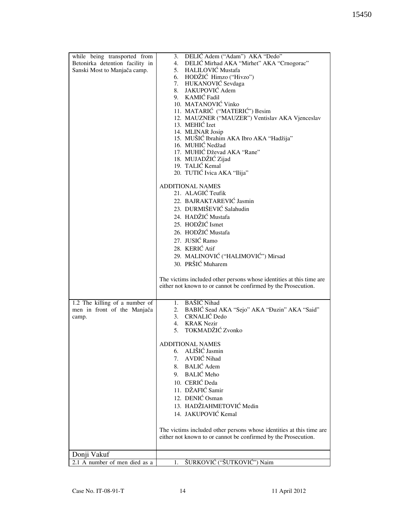| while being transported from    | 3. DELIĆ Adem ("Adam") AKA "Dedo"                                                                                                      |
|---------------------------------|----------------------------------------------------------------------------------------------------------------------------------------|
| Betonirka detention facility in | 4. DELIĆ Mirhad AKA "Mirhet" AKA "Crnogorac"                                                                                           |
| Sanski Most to Manjača camp.    | 5. HALILOVIĆ Mustafa                                                                                                                   |
|                                 | 6. HODŽIĆ Himzo ("Hivzo")                                                                                                              |
|                                 | 7. HUKANOVIĆ Sevdaga                                                                                                                   |
|                                 | 8. JAKUPOVIĆ Adem                                                                                                                      |
|                                 | 9. KAMIĆ Fadil                                                                                                                         |
|                                 | 10. MATANOVIĆ Vinko                                                                                                                    |
|                                 | 11. MATARIĆ ("MATERIĆ") Besim                                                                                                          |
|                                 | 12. MAUZNER ("MAUZER") Ventislav AKA Vjenceslav                                                                                        |
|                                 | 13. MEHIĆ Izet                                                                                                                         |
|                                 | 14. MLINAR Josip                                                                                                                       |
|                                 | 15. MUŠIĆ Ibrahim AKA Ibro AKA "Hadžija"                                                                                               |
|                                 | 16. MUHIĆ Nedžad                                                                                                                       |
|                                 | 17. MUHIĆ Dževad AKA "Rane"                                                                                                            |
|                                 | 18. MUJADŽIĆ Zijad                                                                                                                     |
|                                 | 19. TALIĆ Kemal                                                                                                                        |
|                                 | 20. TUTIĆ Ivica AKA "Ilija"                                                                                                            |
|                                 |                                                                                                                                        |
|                                 | <b>ADDITIONAL NAMES</b>                                                                                                                |
|                                 | 21. ALAGIĆ Teufik                                                                                                                      |
|                                 | 22. BAJRAKTAREVIĆ Jasmin                                                                                                               |
|                                 | 23. DURMIŠEVIĆ Salahudin                                                                                                               |
|                                 |                                                                                                                                        |
|                                 | 24. HADŽIĆ Mustafa                                                                                                                     |
|                                 | 25. HODŽIĆ Ismet                                                                                                                       |
|                                 | 26. HODŽIĆ Mustafa                                                                                                                     |
|                                 | 27. JUSIĆ Ramo                                                                                                                         |
|                                 | 28. KERIĆ Atif                                                                                                                         |
|                                 | 29. MALINOVIĆ ("HALIMOVIĆ") Mirsad                                                                                                     |
|                                 |                                                                                                                                        |
|                                 | 30. PRŠIĆ Muharem                                                                                                                      |
|                                 | The victims included other persons whose identities at this time are<br>either not known to or cannot be confirmed by the Prosecution. |
| 1.2 The killing of a number of  | 1. BAŠIĆ Nihad                                                                                                                         |
| men in front of the Manjača     | 2. BABIĆ Sead AKA "Sejo" AKA "Đuzin" AKA "Said"                                                                                        |
| camp.                           | 3. CRNALIĆ Dedo                                                                                                                        |
|                                 | 4. KRAK Nezir                                                                                                                          |
|                                 | 5. TOKMADŽIĆ Zvonko                                                                                                                    |
|                                 |                                                                                                                                        |
|                                 | <b>ADDITIONAL NAMES</b>                                                                                                                |
|                                 | 6. ALIŠIĆ Jasmin                                                                                                                       |
|                                 | 7. AVDIĆ Nihad                                                                                                                         |
|                                 | 8. BALIĆ Adem                                                                                                                          |
|                                 | 9. BALIĆ Meho                                                                                                                          |
|                                 | 10. CERIĆ Deda                                                                                                                         |
|                                 |                                                                                                                                        |
|                                 | 11. DŽAFIĆ Samir                                                                                                                       |
|                                 | 12. DENIĆ Osman                                                                                                                        |
|                                 | 13. HADŽIAHMETOVIĆ Medin                                                                                                               |
|                                 | 14. JAKUPOVIĆ Kemal                                                                                                                    |
|                                 |                                                                                                                                        |
|                                 | The victims included other persons whose identities at this time are                                                                   |
|                                 | either not known to or cannot be confirmed by the Prosecution.                                                                         |
|                                 |                                                                                                                                        |
|                                 |                                                                                                                                        |
| Donji Vakuf                     |                                                                                                                                        |
| 2.1 A number of men died as a   | ŠURKOVIĆ ("ŠUTKOVIĆ") Naim<br>1.                                                                                                       |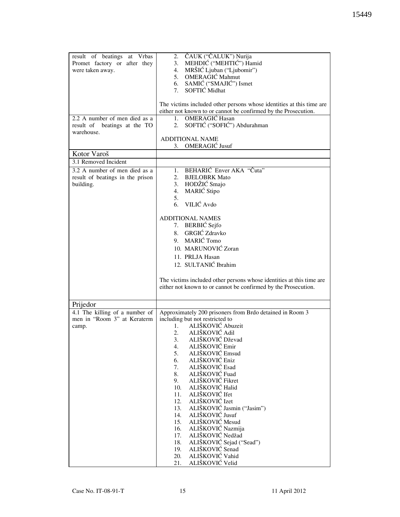| result of beatings at Vrbas<br>Promet factory or after they<br>were taken away.<br>2.2 A number of men died as a | 2. ČAUK ("ČALUK") Nurija<br>MEHDIĆ ("MEHTIĆ") Hamid<br>3.<br>4.<br>MRŠIĆ Ljuban ("Ljubomir")<br>5. OMERAGIĆ Mahmut<br>SAMIĆ ("SMAJIĆ") Ismet<br>6.<br>7. SOFTIĆ Midhat<br>The victims included other persons whose identities at this time are<br>either not known to or cannot be confirmed by the Prosecution.<br><b>OMERAGIĆ Hasan</b><br>$1 -$                                                                                                                                                                                                                                                                                                                    |
|------------------------------------------------------------------------------------------------------------------|-----------------------------------------------------------------------------------------------------------------------------------------------------------------------------------------------------------------------------------------------------------------------------------------------------------------------------------------------------------------------------------------------------------------------------------------------------------------------------------------------------------------------------------------------------------------------------------------------------------------------------------------------------------------------|
| result of beatings at the TO<br>warehouse.                                                                       | SOFTIĆ ("SOFIĆ") Abdurahman<br>2.<br><b>ADDITIONAL NAME</b><br><b>OMERAGIC</b> Jusuf<br>3.                                                                                                                                                                                                                                                                                                                                                                                                                                                                                                                                                                            |
| Kotor Varoš                                                                                                      |                                                                                                                                                                                                                                                                                                                                                                                                                                                                                                                                                                                                                                                                       |
| 3.1 Removed Incident                                                                                             |                                                                                                                                                                                                                                                                                                                                                                                                                                                                                                                                                                                                                                                                       |
| 3.2 A number of men died as a<br>result of beatings in the prison<br>building.                                   | BEHARIĆ Enver AKA "Čuta"<br>1.<br><b>BJELOBRK Mato</b><br>2.<br>3. HODŽIĆ Smajo<br>4. MARIĆ Stipo<br>5.<br>6. VILIĆ Avdo                                                                                                                                                                                                                                                                                                                                                                                                                                                                                                                                              |
|                                                                                                                  | <b>ADDITIONAL NAMES</b><br>7. BERBIĆ Sejfo<br>8. GRGIĆ Zdravko<br>9. MARIĆ Tomo<br>10. MARUNOVIĆ Zoran<br>11. PRLJA Hasan<br>12. SULTANIĆ Ibrahim<br>The victims included other persons whose identities at this time are<br>either not known to or cannot be confirmed by the Prosecution.                                                                                                                                                                                                                                                                                                                                                                           |
| Prijedor                                                                                                         |                                                                                                                                                                                                                                                                                                                                                                                                                                                                                                                                                                                                                                                                       |
| 4.1 The killing of a number of<br>men in "Room 3" at Keraterm<br>camp.                                           | Approximately 200 prisoners from Brdo detained in Room 3<br>including but not restricted to<br>ALIŠKOVIĆ Abuzeit<br>1.<br>2. ALIŠKOVIĆ Adil<br>3.<br>ALIŠKOVIĆ Dževad<br>ALIŠKOVIĆ Emir<br>4.<br>ALIŠKOVIĆ Emsud<br>5.<br>ALIŠKOVIĆ Eniz<br>6.<br>ALIŠKOVIĆ Esad<br>7.<br>ALIŠKOVIĆ Fuad<br>8.<br>ALIŠKOVIĆ Fikret<br>9.<br>ALIŠKOVIĆ Halid<br>10.<br>ALIŠKOVIĆ Ifet<br>11.<br>ALIŠKOVIĆ Izet<br>12.<br>ALIŠKOVIĆ Jasmin ("Jasim")<br>13.<br>ALIŠKOVIĆ Jusuf<br>14.<br>ALIŠKOVIĆ Mesud<br>15.<br>ALIŠKOVIĆ Nazmija<br>16.<br>ALIŠKOVIĆ Nedžad<br>17.<br>ALIŠKOVIĆ Sejad ("Sead")<br>18.<br>ALIŠKOVIĆ Senad<br>19.<br>ALIŠKOVIĆ Vahid<br>20.<br>ALIŠKOVIĆ Velid<br>21. |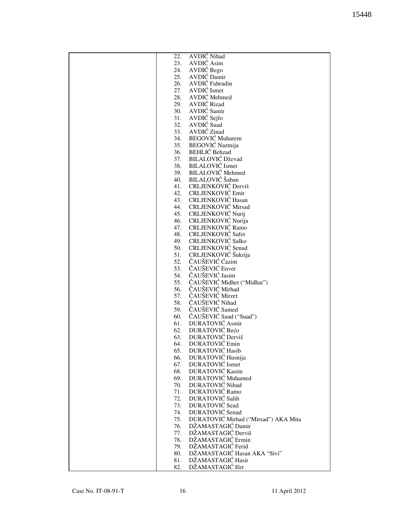|     | <b>AVDIC</b> Nihad                   |
|-----|--------------------------------------|
| 22. |                                      |
| 23. | AVDIĆ Asim                           |
| 24. | AVDIĆ Bego                           |
| 25. | AVDIĆ Damir                          |
| 26. | AVDIĆ Fahrudin                       |
| 27. | AVDIĆ Ismet                          |
|     |                                      |
| 28. | AVDIĆ Mehmed                         |
| 29. | <b>AVDIĆ Rizad</b>                   |
| 30. | AVDIĆ Samir                          |
| 31. | AVDIĆ Sejfo                          |
| 32. | AVDIĆ Suad                           |
| 33. | AVDIĆ Zinad                          |
| 34. | <b>BEGOVIĆ</b> Muharem               |
|     |                                      |
| 35. | BEGOVIĆ Nazmija                      |
| 36. | <b>BEHLIC</b> Behzad                 |
| 37. | <b>BILALOVIĆ Dževad</b>              |
| 38. | <b>BILALOVIĆ</b> Ismet               |
| 39. | <b>BILALOVIĆ</b> Mehmed              |
| 40. | BILALOVIĆ Šaban                      |
| 41. | CRLJENKOVIĆ Derviš                   |
|     |                                      |
| 42. | CRLJENKOVIĆ Emir                     |
| 43. | CRLJENKOVIĆ Hasan                    |
| 44. | CRLJENKOVIĆ Mirsad                   |
| 45. | CRLJENKOVIĆ Nurij                    |
| 46. | CRLJENKOVIĆ Nurija                   |
| 47. | CRLJENKOVIĆ Ramo                     |
| 48. | <b>CRLJENKOVIĆ Safet</b>             |
|     |                                      |
| 49. | <b>CRLJENKOVIĆ Salko</b>             |
| 50. | CRLJENKOVIĆ Senad                    |
| 51. | CRLJENKOVIĆ Šukrija                  |
| 52. | ČAUŠEVIĆ Ćazim                       |
| 53. | ČAUŠEVIĆ Enver                       |
| 54. | ČAUŠEVIĆ Jasim                       |
| 55. | ČAUŠEVIĆ Midhet ("Midhat")           |
|     |                                      |
| 56. | ČAUŠEVIĆ Mirhad                      |
| 57. | ČAUŠEVIĆ Mirzet                      |
| 58. | ČAUŠEVIĆ Nihad                       |
| 59. | ČAUŠEVIĆ Samed                       |
| 60. | ČAUŠEVIĆ Saud ("Suad")               |
| 61. | DURATOVIĆ Asmir                      |
| 62. | DURATOVIĆ Bećo                       |
|     |                                      |
| 63. | DURATOVIĆ Derviš                     |
| 64. | DURATOVIĆ Emin                       |
| 65. | DURATOVIĆ Hasib                      |
| 66. | DURATOVIĆ Husnija                    |
| 67. | DURATOVIĆ Ismet                      |
| 68. | DURATOVIĆ Kasim                      |
| 69. | DURATOVIĆ Muhamed                    |
| 70. | DURATOVIĆ Nihad                      |
|     |                                      |
| 71. | <b>DURATOVIĆ Ramo</b>                |
| 72. | DURATOVIĆ Salih                      |
| 73. | <b>DURATOVIĆ</b> Sead                |
| 74. | DURATOVIĆ Senad                      |
| 75. | DURATOVIĆ Mirhad ("Mirsad") AKA Mita |
| 76. | DŽAMASTAGIĆ Damir                    |
| 77. | DŽAMASTAGIĆ Derviš                   |
|     |                                      |
| 78. | DŽAMASTAGIĆ Ermin                    |
| 79. | DŽAMASTAGIĆ Ferid                    |
| 80. | DŽAMASTAGIĆ Hasan AKA "Sivi"         |
| 81. | DŽAMASTAGIĆ Hasir                    |
| 82. | DŽAMASTAGIĆ Ifet                     |
|     |                                      |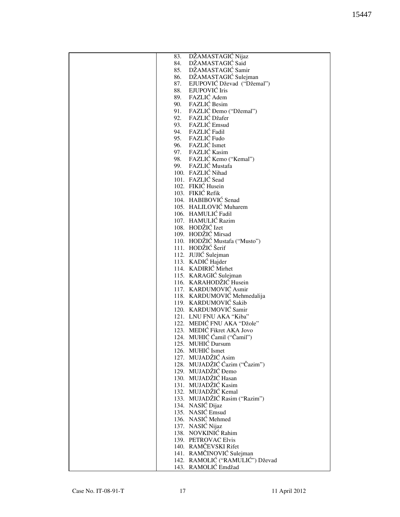| 83. | DŽAMASTAGIĆ Nijaz               |
|-----|---------------------------------|
| 84. | DŽAMASTAGIĆ Said                |
| 85. | DŽAMASTAGIĆ Samir               |
|     |                                 |
| 86. | DŽAMASTAGIĆ Sulejman            |
| 87. | EJUPOVIĆ Dževad ("Džemal")      |
| 88. | EJUPOVIĆ Iris                   |
|     | 89. FAZLIĆ Adem                 |
|     | 90. FAZLIĆ Besim                |
| 91. | FAZLIĆ Đemo ("Džemal")          |
| 92. | FAZLIĆ Džafer                   |
|     |                                 |
| 93. | FAZLIĆ Emsud                    |
|     | 94. FAZLIĆ Fadil                |
| 95. | FAZLIĆ Fudo                     |
|     | 96. FAZLIĆ Ismet                |
|     | 97. FAZLIĆ Kasim                |
|     | 98. FAZLIĆ Kemo ("Kemal")       |
| 99. | FAZLIĆ Mustafa                  |
|     |                                 |
|     | 100. FAZLIĆ Nihad               |
|     | 101. FAZLIĆ Sead                |
|     | 102. FIKIĆ Husein               |
|     | 103. FIKIĆ Refik                |
|     | 104. HABIBOVIĆ Senad            |
|     | 105. HALILOVIĆ Muharem          |
|     | 106. HAMULIĆ Fadil              |
|     |                                 |
|     | 107. HAMULIĆ Razim              |
|     | 108. HODŽIĆ Izet                |
|     | 109. HODŽIĆ Mirsad              |
|     | 110. HODŽIĆ Mustafa ("Musto")   |
|     | 111. HODŽIĆ Šerif               |
|     | 112. JUJIĆ Sulejman             |
|     | 113. KADIĆ Hajder               |
|     |                                 |
|     | 114. KADIRIĆ Mirhet             |
|     | 115. KARAGIĆ Sulejman           |
|     | 116. KARAHODŽIĆ Husein          |
|     | 117. KARDUMOVIĆ Asmir           |
|     | 118. KARDUMOVIĆ Mehmedalija     |
|     | 119. KARDUMOVIĆ Sakib           |
|     | 120. KARDUMOVIĆ Samir           |
|     | 121. LNU FNU AKA "Kiba"         |
|     |                                 |
|     | 122. MEDIĆ FNU AKA "Džole"      |
|     | 123. MEDIĆ Fikret AKA Jovo      |
|     | 124. MUHIĆ Ćamil ("Čamil")      |
|     | 125. MUHIĆ Dursum               |
|     | 126. MUHIĆ Ismet                |
|     | 127. MUJADŽIĆ Asim              |
|     | 128. MUJADŽIĆ Ćazim ("Čazim")   |
|     | 129. MUJADŽIĆ Đemo              |
|     |                                 |
|     | 130. MUJADŽIĆ Hasan             |
|     | 131. MUJADŽIĆ Kasim             |
|     | 132. MUJADŽIĆ Kemal             |
|     | 133. MUJADŽIĆ Rasim ("Razim")   |
|     | 134. NASIĆ Dijaz                |
|     | 135. NASIĆ Emsud                |
|     | 136. NASIĆ Mehmed               |
|     |                                 |
|     | 137. NASIĆ Nijaz                |
|     | 138. NOVKINIĆ Rahim             |
|     | 139. PETROVAC Elvis             |
|     | 140. RAMČEVSKI Rifet            |
|     | 141. RAMČINOVIĆ Sulejman        |
|     | 142. RAMOLIĆ ("RAMULIĆ") Dževad |
|     | 143. RAMOLIĆ Emdžad             |
|     |                                 |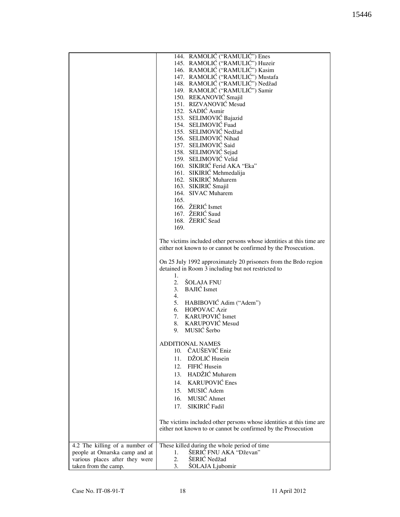|                                | 144. RAMOLIĆ ("RAMULIĆ") Enes                                        |
|--------------------------------|----------------------------------------------------------------------|
|                                | 145. RAMOLIĆ ("RAMULIĆ") Huzeir                                      |
|                                | 146. RAMOLIĆ ("RAMULIĆ") Kasim                                       |
|                                | 147. RAMOLIĆ ("RAMULIĆ") Mustafa                                     |
|                                | 148. RAMOLIĆ ("RAMULIĆ") Nedžad                                      |
|                                | 149. RAMOLIĆ ("RAMULIĆ") Samir                                       |
|                                | 150. REKANOVIĆ Smajil                                                |
|                                | 151. RIZVANOVIĆ Mesud                                                |
|                                | 152. SADIĆ Asmir                                                     |
|                                | 153. SELIMOVIĆ Bajazid                                               |
|                                | 154. SELIMOVIĆ Fuad                                                  |
|                                | 155. SELIMOVIĆ Nedžad                                                |
|                                | 156. SELIMOVIĆ Nihad                                                 |
|                                | 157. SELIMOVIĆ Said                                                  |
|                                | 158. SELIMOVIĆ Sejad                                                 |
|                                | 159. SELIMOVIĆ Velid                                                 |
|                                | 160. SIKIRIĆ Ferid AKA "Eka"                                         |
|                                | 161. SIKIRIĆ Mehmedalija                                             |
|                                | 162. SIKIRIĆ Muharem                                                 |
|                                | 163. SIKIRIĆ Smajil                                                  |
|                                | 164. SIVAC Muharem                                                   |
|                                | 165.                                                                 |
|                                | 166. ŽERIĆ Ismet                                                     |
|                                | 167. ŽERIĆ Saud                                                      |
|                                | 168. ŽERIĆ Sead                                                      |
|                                | 169.                                                                 |
|                                |                                                                      |
|                                | The victims included other persons whose identities at this time are |
|                                | either not known to or cannot be confirmed by the Prosecution.       |
|                                |                                                                      |
|                                | On 25 July 1992 approximately 20 prisoners from the Brdo region      |
|                                | detained in Room 3 including but not restricted to                   |
|                                | 1.                                                                   |
|                                | 2. ŠOLAJA FNU                                                        |
|                                | 3. BAJIĆ Ismet                                                       |
|                                | 4.                                                                   |
|                                | 5. HABIBOVIĆ Adim ("Adem")                                           |
|                                | 6. HOPOVAC Azir                                                      |
|                                | 7. KARUPOVIĆ Ismet                                                   |
|                                | 8. KARUPOVIĆ Mesud                                                   |
|                                | MUSIĆ Šerbo<br>9.                                                    |
|                                |                                                                      |
|                                | <b>ADDITIONAL NAMES</b>                                              |
|                                | 10. ČAUŠEVIĆ Eniz                                                    |
|                                | 11. DŽOLIĆ Husein                                                    |
|                                | 12. FIFIĆ Husein                                                     |
|                                | 13. HADŽIĆ Muharem                                                   |
|                                |                                                                      |
|                                | 14. KARUPOVIĆ Enes                                                   |
|                                | 15. MUSIĆ Adem                                                       |
|                                | 16. MUSIĆ Ahmet                                                      |
|                                | 17. SIKIRIĆ Fadil                                                    |
|                                |                                                                      |
|                                | The victims included other persons whose identities at this time are |
|                                | either not known to or cannot be confirmed by the Prosecution        |
|                                |                                                                      |
|                                |                                                                      |
| 4.2 The killing of a number of | These killed during the whole period of time                         |
| people at Omarska camp and at  | ŠERIĆ FNU AKA "Dževan"<br>1.                                         |
| various places after they were | ŠERIĆ Nedžad<br>2.                                                   |
| taken from the camp.           | 3.<br>ŠOLAJA Ljubomir                                                |
|                                |                                                                      |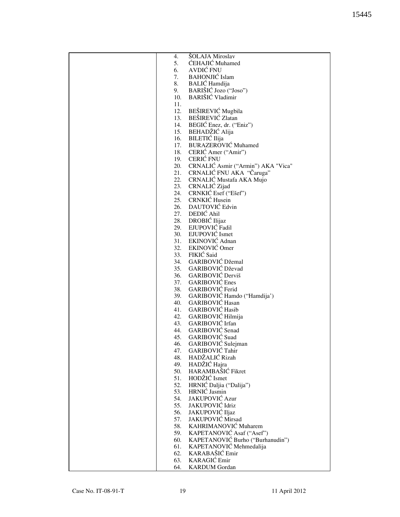| 4.  | ŠOLAJA Miroslav                        |
|-----|----------------------------------------|
| 5.  | ĆEHAJIĆ Muhamed                        |
| 6.  | AVDIĆ FNU                              |
| 7.  | <b>BAHONJIĆ</b> Islam                  |
|     |                                        |
| 8.  | BALIĆ Hamdija                          |
| 9.  | BARIŠIĆ Jozo ("Joso")                  |
| 10. | BARIŠIĆ Vladimir                       |
| 11. |                                        |
| 12. | BEŠIREVIĆ Mugbila                      |
|     | 13. BEŠIREVIĆ Zlatan                   |
|     | 14. BEGIĆ Enez, dr. ("Eniz")           |
|     | 15. BEHADŽIĆ Alija                     |
|     | 16. BILETIĆ Ilija                      |
|     | 17. BURAZEROVIĆ Muhamed                |
|     | 18. CERIĆ Amer ("Amir")                |
|     | 19. CERIĆ FNU                          |
|     |                                        |
|     | 20. CRNALIĆ Asmir ("Armin") AKA "Vica" |
|     | 21. CRNALIĆ FNU AKA "Čaruga"           |
|     | 22. CRNALIĆ Mustafa AKA Mujo           |
|     | 23. CRNALIĆ Zijad                      |
|     | 24. CRNKIĆ Esef ("Ešef")               |
|     | 25. CRNKIĆ Husein                      |
|     | 26. DAUTOVIĆ Edvin                     |
|     | 27. DEDIĆ Ahil                         |
|     | 28. DROBIĆ Ilijaz                      |
|     | 29. EJUPOVIĆ Fadil                     |
|     | 30. EJUPOVIĆ Ismet                     |
|     | 31. EKINOVIĆ Adnan                     |
|     | 32. EKINOVIĆ Omer                      |
|     | 33. FIKIĆ Said                         |
|     | 34. GARIBOVIĆ Džemal                   |
|     |                                        |
|     | 35. GARIBOVIĆ Dževad                   |
| 36. | <b>GARIBOVIĆ Derviš</b>                |
|     | 37. GARIBOVIĆ Enes                     |
|     | 38. GARIBOVIĆ Ferid                    |
|     | 39. GARIBOVIĆ Hamdo ("Hamdija")        |
|     | 40. GARIBOVIĆ Hasan                    |
|     | 41. GARIBOVIĆ Hasib                    |
|     | 42. GARIBOVIĆ Hilmija                  |
|     | 43. GARIBOVIĆ Irfan                    |
| 44. | GARIBOVIĆ Senad                        |
| 45. | GARIBOVIĆ Suad                         |
| 46. | GARIBOVIĆ Sulejman                     |
| 47. | GARIBOVIĆ Tahir                        |
| 48. | HADŽALIĆ Rizah                         |
| 49. | HADŽIĆ Hajra                           |
| 50. | HARAMBAŠIĆ Fikret                      |
| 51. | HODŽIĆ Ismet                           |
|     |                                        |
| 52. | HRNIĆ Daljia ("Dalija")                |
| 53. | HRNIĆ Jasmin                           |
| 54. | <b>JAKUPOVIĆ Azur</b>                  |
| 55. | JAKUPOVIĆ Idriz                        |
| 56. | JAKUPOVIĆ Iljaz                        |
| 57. | JAKUPOVIĆ Mirsad                       |
| 58. | KAHRIMANOVIĆ Muharem                   |
| 59. | KAPETANOVIĆ Asaf ("Asef")              |
| 60. | KAPETANOVIĆ Burho ("Burhanudin")       |
| 61. | KAPETANOVIĆ Mehmedalija                |
| 62. | KARABAŠIĆ Emir                         |
| 63. | <b>KARAGIĆ</b> Emir                    |
| 64. | <b>KARDUM</b> Gordan                   |
|     |                                        |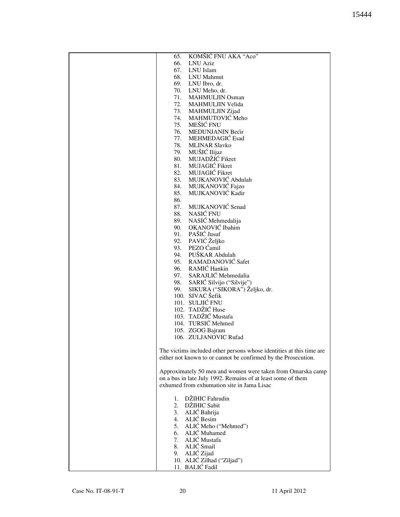| KOMŠIĆ FNU AKA "Aco"<br>65.                                          |
|----------------------------------------------------------------------|
| 66.<br><b>LNU Aziz</b>                                               |
| 67.<br>LNU Islam                                                     |
| 68.<br>LNU Mahmut                                                    |
| 69.                                                                  |
| LNU Ibro, dr.                                                        |
| 70.<br>LNU Meho, dr.                                                 |
| 71.<br>MAHMULJIN Osman                                               |
| 72.<br>MAHMULJIN Velida                                              |
| 73.<br><b>MAHMULJIN Zijad</b>                                        |
| MAHMUTOVIĆ Meho<br>74.                                               |
|                                                                      |
| MEŠIĆ FNU<br>75.                                                     |
| MEDUNJANIN Bećir<br>76.                                              |
| MEHMEDAGIĆ Esad<br>77.                                               |
| <b>MLINAR Slavko</b><br>78.                                          |
| 79. MUŠIĆ Ilijaz                                                     |
|                                                                      |
| MUJADŽIĆ Fikret<br>80.                                               |
| MUJAGIĆ Fikret<br>81.                                                |
| MUJAGIĆ Fikret<br>82.                                                |
| MUJKANOVIĆ Abdulah<br>83.                                            |
| MUJKANOVIĆ Fajzo<br>84.                                              |
|                                                                      |
| MUJKANOVIĆ Kadir<br>85.                                              |
| 86.                                                                  |
| MUJKANOVIĆ Senad<br>87.                                              |
| NASIĆ FNU<br>88.                                                     |
| NASIĆ Mehmedalija<br>89.                                             |
|                                                                      |
| OKANOVIĆ Ibahim<br>90.                                               |
| PAŠIĆ Jusuf<br>91.                                                   |
| 92. PAVIĆ Željko                                                     |
| PEZO Ćamil<br>93.                                                    |
| PUŠKAR Abdulah<br>94.                                                |
| RAMADANOVIĆ Safet                                                    |
| 95.                                                                  |
| 96. RAMIĆ Hankin                                                     |
| SARAJLIĆ Mehmedalia<br>97.                                           |
| SARIĆ Silvijo ("Silvije")<br>98.                                     |
| 99.<br>SIKURA ("SIKORA") Željko, dr.                                 |
|                                                                      |
| 100. SIVAC Šefik                                                     |
| 101. SULJIĆ FNU                                                      |
| 102. TADŽIĆ Huse                                                     |
| 103. TADŽIĆ Mustafa                                                  |
| 104. TURSIĆ Mehmed                                                   |
|                                                                      |
| 105. ZGOG Bajram                                                     |
| 106. ZULJANOVIC Rufad                                                |
|                                                                      |
| The victims included other persons whose identities at this time are |
| either not known to or cannot be confirmed by the Prosecution.       |
|                                                                      |
|                                                                      |
| Approximately 50 men and women were taken from Omarska camp          |
| on a bus in late July 1992. Remains of at least some of them         |
| exhumed from exhumation site in Jama Lisac                           |
|                                                                      |
| 1. DŽIHIC Fahrudin                                                   |
| 2. DŽIHIC Sabit                                                      |
|                                                                      |
| 3. ALIĆ Bahrija                                                      |
| 4. ALIĆ Besim                                                        |
| 5. ALIĆ Meho ("Mehmed")                                              |
| 6. ALIĆ Muhamed                                                      |
| 7. ALIĆ Mustafa                                                      |
|                                                                      |
| 8. ALIĆ Smail                                                        |
| 9. ALIĆ Zijad                                                        |
| 10. ALIĆ Zilhad ("Ziljad")                                           |
| 11. BALIĆ Fadil                                                      |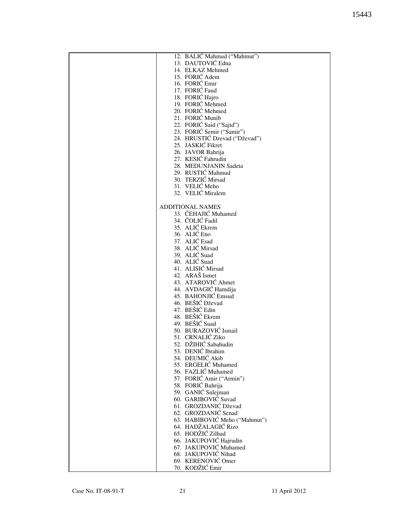| 12. BALIĆ Mahmud ("Mahmut")   |
|-------------------------------|
| 13. DAUTOVIĆ Edna             |
| 14. ELKAZ Mehmed              |
|                               |
| 15. FORIĆ Adem                |
| 16. FORIĆ Emir                |
| 17. FORIĆ Faud                |
|                               |
| 18. FORIĆ Hajro               |
| 19. FORIC Mehmed              |
| 20. FORIĆ Mehmed              |
| 21. FORIĆ Munib               |
|                               |
| 22. FORIĆ Said ("Sajid")      |
| 23. FORIĆ Semir ("Samir")     |
| 24. HRUSTIĆ Dzevad ("Dževad") |
| 25. JASKIĆ Fikret             |
|                               |
| 26. JAVOR Bahrija             |
| 27. KESIĆ Fahrudin            |
| 28. MEDUNJANIN Sadeta         |
| 29. RUSTIĆ Mahmud             |
|                               |
| 30. TERZIĆ Mirsad             |
| 31. VELIĆ Meho                |
| 32. VELIĆ Miralem             |
|                               |
|                               |
| <b>ADDITIONAL NAMES</b>       |
| 33. ČEHAJIĆ Muhamed           |
| 34. ČOLIĆ Fadil               |
| 35. ALIĆ Ekrem                |
|                               |
| 36. ALIĆ Eno                  |
| 37. ALIĆ Esad                 |
| 38. ALIĆ Mirsad               |
| 39. ALIĆ Suad                 |
|                               |
| 40. ALIĆ Suad                 |
| 41. ALISIĆ Mirsad             |
| 42. ARAŠ Ismet                |
| 43. ATAROVIĆ Ahmet            |
|                               |
| 44. AVDAGIĆ Hamdija           |
| 45. BAHONJIĆ Emsud            |
| 46. BEŠIĆ Dževad              |
|                               |
| 47. BEŠIĆ Edin                |
| 48. BEŠIĆ Ekrem               |
| 49. BEŠIĆ Suad                |
| 50. BURAZOVIĆ Ismail          |
|                               |
| 51. CRNALIĆ Ziko              |
| 52. DŽIHIĆ Sabahudin          |
| 53. DENIĆ Ibrahim             |
| 54. DEUMIĆ Akib               |
|                               |
| 55. ERGELIĆ Muhamed           |
| 56. FAZLIĆ Muhamed            |
| 57. FORIĆ Amir ("Armin")      |
| 58. FORIĆ Bahrija             |
|                               |
| 59. GANIĆ Sulejman            |
| 60. GARIBOVIČ Suvad           |
| 61. GROZDANIĆ Dževad          |
| 62. GROZDANIĆ Senad           |
|                               |
| 63. HABIBOVIĆ Meho ("Mahmut") |
| 64. HADŽALAGIĆ Rizo           |
| 65. HODŽIĆ Zilhad             |
| 66. JAKUPOVIĆ Hajrudin        |
|                               |
| 67. JAKUPOVIĆ Muhamed         |
| 68. JAKUPOVIĆ Nihad           |
| 69. KERENOVIĆ Omer            |
|                               |
| 70. KODŽIĆ Emir               |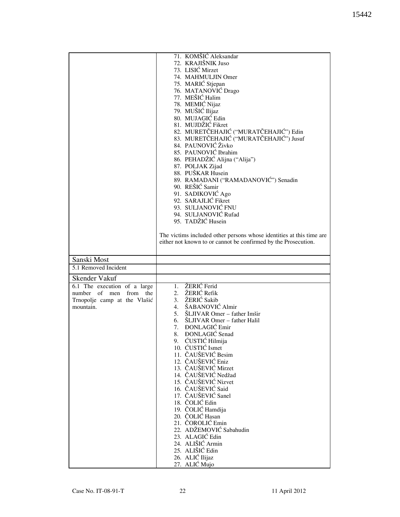|                                    | 71. KOMŠIĆ Aleksandar                                                |
|------------------------------------|----------------------------------------------------------------------|
|                                    |                                                                      |
|                                    | 72. KRAJIŠNIK Juso                                                   |
|                                    | 73. LISIĆ Mirzet                                                     |
|                                    | 74. MAHMULJIN Omer                                                   |
|                                    | 75. MARIĆ Stjepan                                                    |
|                                    | 76. MATANOVIĆ Drago                                                  |
|                                    | 77. MEŠIĆ Halim                                                      |
|                                    | 78. MEMIĆ Nijaz                                                      |
|                                    | 79. MUŠIĆ Ilijaz                                                     |
|                                    | 80. MUJAGIĆ Edin                                                     |
|                                    |                                                                      |
|                                    | 81. MUJDŽIĆ Fikret                                                   |
|                                    | 82. MURETČEHAJIĆ ("MURATČEHAJIĆ") Edin                               |
|                                    | 83. MURETČEHAJIĆ ("MURATČEHAJIĆ") Jusuf                              |
|                                    | 84. PAUNOVIĆ Živko                                                   |
|                                    | 85. PAUNOVIĆ Ibrahim                                                 |
|                                    | 86. PEHADŽIĆ Alijna ("Alija")                                        |
|                                    | 87. POLJAK Zijad                                                     |
|                                    | 88. PUŠKAR Husein                                                    |
|                                    |                                                                      |
|                                    | 89. RAMADANI ("RAMADANOVIĆ") Senadin                                 |
|                                    | 90. REŠIĆ Samir                                                      |
|                                    | 91. SADIKOVIĆ Ago                                                    |
|                                    | 92. SARAJLIĆ Fikret                                                  |
|                                    | 93. SULJANOVIĆ FNU                                                   |
|                                    | 94. SULJANOVIĆ Rufad                                                 |
|                                    | 95. TADŽIĆ Husein                                                    |
|                                    |                                                                      |
|                                    |                                                                      |
|                                    | The victims included other persons whose identities at this time are |
|                                    | either not known to or cannot be confirmed by the Prosecution.       |
|                                    |                                                                      |
|                                    |                                                                      |
| Sanski Most                        |                                                                      |
| 5.1 Removed Incident               |                                                                      |
|                                    |                                                                      |
| Skender Vakuf                      |                                                                      |
| 6.1 The execution of a large       | 1. ŽERIĆ Ferid                                                       |
| of<br>number<br>men<br>from<br>the | 2. ŽERIĆ Refik                                                       |
| Trnopolje camp at the Vlašić       | 3. ŽERIĆ Sakib                                                       |
| mountain.                          | ŠABANOVIĆ Almir<br>4.                                                |
|                                    | ŠLJIVAR Omer - father Imšir<br>5.                                    |
|                                    | 6. ŠLJIVAR Omer – father Halil                                       |
|                                    | 7. ĐONLAGIĆ Emir                                                     |
|                                    |                                                                      |
|                                    | <b>DONLAGIC</b> Senad<br>8.                                          |
|                                    | ĆUSTIĆ Hilmija<br>9.                                                 |
|                                    | 10. ĆUSTIĆ Ismet                                                     |
|                                    | 11. ČAUŠEVIĆ Besim                                                   |
|                                    | 12. ČAUŠEVIĆ Eniz                                                    |
|                                    | 13. ČAUŠEVIĆ Mirzet                                                  |
|                                    | 14. ČAUŠEVIĆ Nedžad                                                  |
|                                    |                                                                      |
|                                    |                                                                      |
|                                    | 15. ČAUŠEVIĆ Nizvet                                                  |
|                                    | 16. ČAUŠEVIĆ Said                                                    |
|                                    | 17. ČAUŠEVIĆ Sanel                                                   |
|                                    | 18. ČOLIĆ Edin                                                       |
|                                    | 19. ČOLIĆ Hamdija                                                    |
|                                    | 20. ČOLIĆ Hasan                                                      |
|                                    |                                                                      |
|                                    | 21. ČOROLIĆ Emin                                                     |
|                                    | 22. ADŽEMOVIĆ Sabahudin                                              |
|                                    | 23. ALAGIĆ Edin                                                      |
|                                    | 24. ALIŠIĆ Armin                                                     |
|                                    | 25. ALIŠIĆ Edin                                                      |
|                                    | 26. ALIĆ Ilijaz<br>27. ALIĆ Mujo                                     |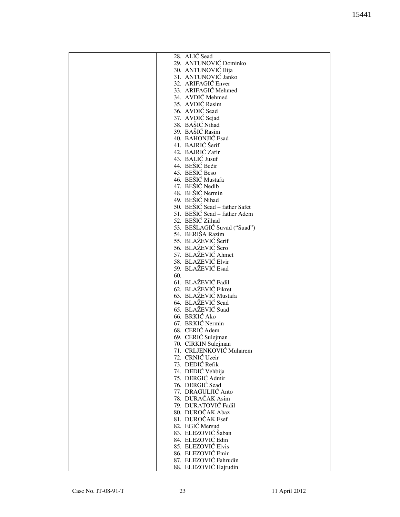| 28. ALIĆ Sead                 |
|-------------------------------|
| 29. ANTUNOVIĆ Dominko         |
|                               |
| 30. ANTUNOVIĆ Ilija           |
| 31. ANTUNOVIĆ Janko           |
| 32. ARIFAGIĆ Enver            |
| 33. ARIFAGIĆ Mehmed           |
|                               |
| 34. AVDIĆ Mehmed              |
| 35. AVDIĆ Rasim               |
| 36. AVDIĆ Sead                |
| 37. AVDIĆ Sejad               |
|                               |
| 38. BAŠIĆ Nihad               |
| 39. BAŠIĆ Rasim               |
| 40. BAHONJIĆ Esad             |
| 41. BAJRIĆ Šerif              |
|                               |
| 42. BAJRIĆ Zafir              |
| 43. BALIĆ Jusuf               |
| 44. BEŠIĆ Bećir               |
| 45. BEŠIĆ Beso                |
|                               |
| 46. BEŠIĆ Mustafa             |
| 47. BEŠIĆ Nedib               |
| 48. BEŠIĆ Nermin              |
| 49. BEŠIĆ Nihad               |
|                               |
| 50. BEŠIĆ Sead - father Safet |
| 51. BEŠIĆ Sead – father Adem  |
| 52. BEŠIĆ Zilhad              |
| 53. BEŠLAGIĆ Suvad ("Suad")   |
|                               |
| 54. BERIŠA Razim              |
| 55. BLAŽEVIĆ Šerif            |
| 56. BLAŽEVIĆ Šero             |
| 57. BLAŽEVIĆ Ahmet            |
|                               |
| 58. BLAZEVIĆ Elvir            |
| 59. BLAŽEVIĆ Esad             |
| 60.                           |
| 61. BLAŽEVIĆ Fadil            |
|                               |
| 62. BLAŽEVIĆ Fikret           |
| 63. BLAŽEVIĆ Mustafa          |
| 64. BLAŽEVIĆ Sead             |
| 65. BLAŽEVIĆ Suad             |
|                               |
| 66. BRKIĆ Ako                 |
| 67. BRKIĆ Nermin              |
| 68. CERIĆ Adem                |
| 69. CERIĆ Sulejman            |
|                               |
| 70. CIRKIN Sulejman           |
| 71. CRLJENKOVIĆ Muharem       |
| 72. CRNIĆ Uzeir               |
| 73. DEDIĆ Refik               |
| 74. DEDIĆ Vehbija             |
|                               |
| 75. DERGIĆ Admir              |
| 76. DERGIĆ Sead               |
| 77. DRAGULJIĆ Anto            |
| 78. DURAČAK Asim              |
|                               |
| 79. DURATOVIĆ Fadil           |
| 80. DUROČAK Abaz              |
| 81. DUROČAK Esef              |
| 82. EGIĆ Mersud               |
|                               |
| 83. ELEZOVIĆ Šaban            |
| 84. ELEZOVIĆ Edin             |
| 85. ELEZOVIĆ Elvis            |
| 86. ELEZOVIĆ Emir             |
|                               |
| 87. ELEZOVIĆ Fahrudin         |
| 88. ELEZOVIĆ Hajrudin         |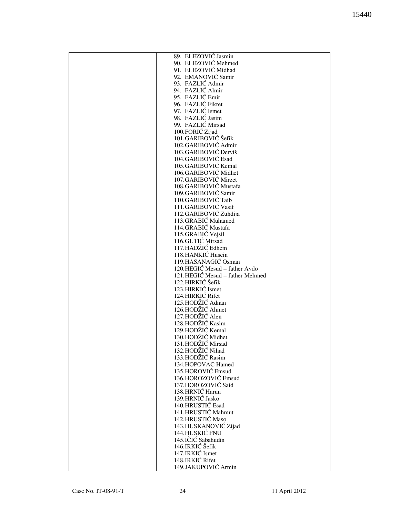| 89. ELEZOVIĆ Jasmin             |
|---------------------------------|
| 90. ELEZOVIĆ Mehmed             |
| 91. ELEZOVIĆ Midhad             |
| 92. EMANOVIĆ Samir              |
|                                 |
| 93. FAZLIĆ Admir                |
| 94. FAZLIĆ Almir                |
| 95. FAZLIĆ Emir                 |
| 96. FAZLIĆ Fikret               |
| 97. FAZLIĆ Ismet                |
| 98. FAZLIĆ Jasim                |
|                                 |
| 99. FAZLIĆ Mirsad               |
| 100.FORIĆ Zijad                 |
| 101.GARIBOVIĆ Šefik             |
| 102.GARIBOVIĆ Admir             |
| 103.GARIBOVIĆ Derviš            |
| 104.GARIBOVIĆ Esad              |
|                                 |
| 105.GARIBOVIĆ Kemal             |
| 106.GARIBOVIĆ Midhet            |
| 107.GARIBOVIĆ Mirzet            |
| 108.GARIBOVIĆ Mustafa           |
| 109.GARIBOVIĆ Samir             |
| 110.GARIBOVIĆ Taib              |
|                                 |
| 111.GARIBOVIĆ Vasif             |
| 112.GARIBOVIĆ Zuhdija           |
| 113.GRABIĆ Muhamed              |
| 114.GRABIĆ Mustafa              |
| 115.GRABIĆ Vejsil               |
| 116.GUTIĆ Mirsad                |
|                                 |
| 117.HADŽIĆ Edhem                |
| 118.HANKIĆ Husein               |
| 119.HASANAGIĆ Osman             |
| 120.HEGIĆ Mesud - father Avdo   |
| 121.HEGIĆ Mesud - father Mehmed |
| 122.HIRKIĆ Šefik                |
|                                 |
| 123.HIRKIĆ Ismet                |
| 124.HIRKIĆ Rifet                |
| 125.HODŽIĆ Adnan                |
| 126.HODŽIĆ Ahmet                |
| 127.HODŽIĆ Alen                 |
| 128.HODŽIĆ Kasim                |
| 129.HODŽIĆ Kemal                |
|                                 |
| 130.HODŽIĆ Midhet               |
| 131.HODŽIĆ Mirsad               |
| 132.HODŽIĆ Nihad                |
| 133.HODŽIĆ Rasim                |
| 134.HOPOVAC Hamed               |
| 135.HOROVIĆ Emsud               |
|                                 |
| 136.HOROZOVIĆ Emsud             |
| 137.HOROZOVIĆ Said              |
| 138.HRNIĆ Harun                 |
| 139.HRNIĆ Jasko                 |
| 140.HRUSTIĆ Esad                |
| 141.HRUSTIĆ Mahmut              |
| 142.HRUSTIĆ Maso                |
|                                 |
| 143.HUSKANOVIĆ Zijad            |
| 144.HUSKIĆ FNU                  |
| 145.IČIĆ Sabahudin              |
| 146.IRKIĆ Šefik                 |
| 147.IRKIĆ Ismet                 |
| 148.IRKIĆ Rifet                 |
|                                 |
| 149.JAKUPOVIĆ Armin             |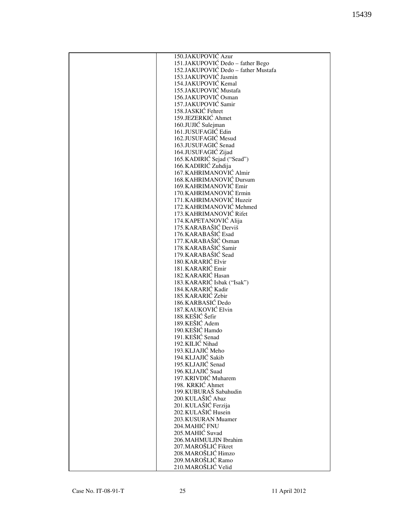| 150.JAKUPOVIĆ Azur                  |
|-------------------------------------|
| 151.JAKUPOVIĆ Dedo - father Bego    |
| 152.JAKUPOVIĆ Dedo - father Mustafa |
| 153.JAKUPOVIĆ Jasmin                |
|                                     |
| 154.JAKUPOVIĆ Kemal                 |
| 155.JAKUPOVIĆ Mustafa               |
| 156.JAKUPOVIĆ Osman                 |
| 157.JAKUPOVIĆ Samir                 |
| 158.JASKIĆ Fehret                   |
|                                     |
| 159.JEZERKIĆ Ahmet                  |
| 160.JUJIĆ Sulejman                  |
| 161.JUSUFAGIĆ Edin                  |
| 162.JUSUFAGIĆ Mesud                 |
| 163.JUSUFAGIĆ Senad                 |
|                                     |
| 164.JUSUFAGIĆ Zijad                 |
| 165. KADIRIĆ Sejad ("Sead")         |
| 166. KADIRIĆ Zuhdija                |
| 167. KAHRIMANOVIĆ Almir             |
| 168. KAHRIMANOVIĆ Dursum            |
|                                     |
| 169. KAHRIMANOVIĆ Emir              |
| 170. KAHRIMANOVIĆ Ermin             |
| 171. KAHRIMANOVIĆ Huzeir            |
| 172. KAHRIMANOVIĆ Mehmed            |
| 173. KAHRIMANOVIĆ Rifet             |
| 174. KAPETANOVIĆ Alija              |
|                                     |
| 175. KARABAŠIĆ Derviš               |
| 176. KARABAŠIĆ Esad                 |
| 177. KARABAŠIĆ Osman                |
| 178. KARABAŠIĆ Samir                |
| 179. KARABAŠIĆ Sead                 |
| 180. KARARIĆ Elvir                  |
|                                     |
| 181.KARARIĆ Emir                    |
| 182. KARARIĆ Hasan                  |
| 183. KARARIĆ Isbak ("Isak")         |
| 184.KARARIĆ Kadir                   |
| 185.KARARIĆ Zebir                   |
| 186. KARBASIĆ Dedo                  |
|                                     |
| 187. KAUKOVIĆ Elvin                 |
| 188.KEŠIĆ Šefir                     |
| 189.KEŠIĆ Adem                      |
| 190. KEŠIĆ Hamdo                    |
| 191. KEŠIĆ Senad                    |
| 192. KILIĆ Nihad                    |
|                                     |
| 193.KLJAJIĆ Meho                    |
| 194.KLJAJIĆ Sakib                   |
| 195.KLJAJIĆ Senad                   |
| 196.KLJAJIĆ Suad                    |
| 197. KRIVDIĆ Muharem                |
| 198. KRKIĆ Ahmet                    |
| 199.KUBURAŠ Sabahudin               |
|                                     |
| 200.KULAŠIĆ Abaz                    |
| 201.KULAŠIĆ Ferzija                 |
| 202.KULAŠIĆ Husein                  |
| 203.KUSURAN Muamer                  |
| 204.MAHIĆ FNU                       |
| 205. MAHIĆ Suvad                    |
|                                     |
| 206. MAHMULJIN Ibrahim              |
| 207.MAROŠLIĆ Fikret                 |
| 208. MAROŠLIĆ Himzo                 |
| 209. MAROŠLIĆ Ramo                  |
| 210.MAROŠLIĆ Velid                  |
|                                     |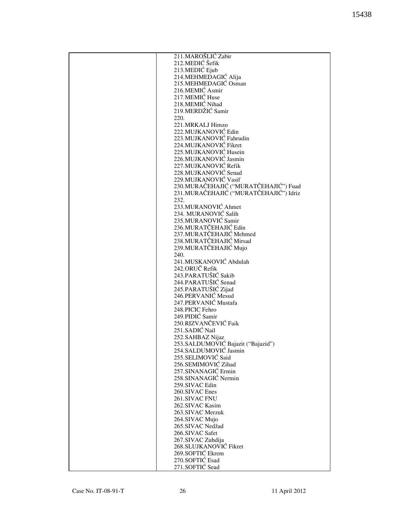| 211.MAROŠLIĆ Zabir                      |
|-----------------------------------------|
| 212. MEDIĆ Šefik                        |
| 213.MEDIĆ Ejub                          |
| 214. MEHMEDAGIĆ Alija                   |
| 215.MEHMEDAGIĆ Osman                    |
|                                         |
| 216.MEMIĆ Asmir                         |
| 217.MEMIĆ Huse                          |
| 218.MEMIC Nihad                         |
| 219.MERDŽIĆ Samir                       |
| 220.                                    |
| 221.MRKALJ Himzo                        |
| 222. MUJKANOVIĆ Edin                    |
| 223.MUJKANOVIĆ Fahrudin                 |
| 224.MUJKANOVIĆ Fikret                   |
| 225.MUJKANOVIĆ Husein                   |
| 226.MUJKANOVIĆ Jasmin                   |
| 227.MUJKANOVIĆ Refik                    |
| 228.MUJKANOVIĆ Senad                    |
|                                         |
| 229. MUJKANOVIĆ Vasif                   |
| 230. MURAČEHAJIĆ ("MURATČEHAJIĆ") Fuad  |
| 231. MURAČEHAJIĆ ("MURATČEHAJIĆ") Idriz |
| 232.                                    |
| 233.MURANOVIĆ Ahmet                     |
| 234. MURANOVIĆ Salih                    |
| 235.MURANOVIĆ Samir                     |
| 236.MURATČEHAJIĆ Edin                   |
| 237. MURATČEHAJIĆ Mehmed                |
| 238. MURATČEHAJIĆ Mirsad                |
| 239. MURATČEHAJIĆ Mujo                  |
| 240.                                    |
| 241.MUSKANOVIĆ Abdulah                  |
| 242.ORUČ Refik                          |
| 243.PARATUŠIĆ Sakib                     |
| 244.PARATUŠIĆ Senad                     |
|                                         |
| 245.PARATUŠIĆ Zijad                     |
| 246.PERVANIĆ Mesud                      |
| 247. PERVANIĆ Mustafa                   |
| 248.PICIC Fehro                         |
| 249.PIDIĆ Samir                         |
| 250.RIZVANČEVIĆ Faik                    |
| 251.SADIĆ Nail                          |
| 252. SAHBAZ Nijaz                       |
| 253. SALDUMOVIĆ Bajazit ("Bajazid")     |
| 254.SALDUMOVIĆ Jasmin                   |
| 255.SELIMOVIĆ Said                      |
| 256.SEMIMOVIĆ Zihad                     |
| 257.SINANAGIĆ Ermin                     |
| 258.SINANAGIĆ Nermin                    |
| 259.SIVAC Edin                          |
| 260.SIVAC Enes                          |
| 261.SIVAC FNU                           |
|                                         |
| 262.SIVAC Kasim                         |
| 263.SIVAC Merzuk                        |
| 264.SIVAC Mujo                          |
| 265.SIVAC Nedžad                        |
| 266.SIVAC Safet                         |
| 267.SIVAC Zuhdija                       |
| 268.SLUJKANOVIĆ Fikret                  |
| 269.SOFTIĆ Ekrem                        |
| 270.SOFTIĆ Esad                         |
| 271.SOFTIĆ Sead                         |
|                                         |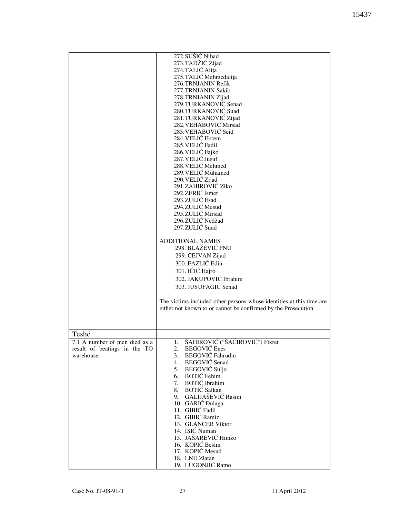|                                                                                          | 272.SUŠIĆ Nihad<br>273.TADŽIĆ Zijad<br>274.TALIĆ Alija<br>275.TALIĆ Mehmedalija<br>276.TRNJANIN Refik<br>277.TRNJANIN Sakib<br>278.TRNJANIN Zijad<br>279.TURKANOVIĆ Senad<br>280.TURKANOVIĆ Suad<br>281.TURKANOVIĆ Zijad<br>282. VEHABOVIĆ Mirsad<br>283. VEHABOVIĆ Seid<br>284. VELIĆ Ekrem<br>285. VELIĆ Fadil<br>286. VELIĆ Fajko<br>287. VELIĆ Jusuf<br>288. VELIĆ Mehmed<br>289. VELIĆ Muhamed<br>290. VELIĆ Zijad<br>291.ZAHIROVIĆ Ziko<br>292. ZERIĆ Ismet<br>293.ZULIĆ Esad<br>294.ZULIĆ Mesud<br>295.ZULIĆ Mirsad<br>296.ZULIĆ Nedžad<br>297.ZULIĆ Suad<br><b>ADDITIONAL NAMES</b><br>298. BLAŽEVIĆ FNU<br>299. CEJVAN Zijad<br>300. FAZLIĆ Edin<br>301. IČIĆ Hajro<br>302. JAKUPOVIĆ Ibrahim<br>303. JUSUFAGIĆ Senad |
|------------------------------------------------------------------------------------------|--------------------------------------------------------------------------------------------------------------------------------------------------------------------------------------------------------------------------------------------------------------------------------------------------------------------------------------------------------------------------------------------------------------------------------------------------------------------------------------------------------------------------------------------------------------------------------------------------------------------------------------------------------------------------------------------------------------------------------|
|                                                                                          | The victims included other persons whose identities at this time are<br>either not known to or cannot be confirmed by the Prosecution.                                                                                                                                                                                                                                                                                                                                                                                                                                                                                                                                                                                         |
|                                                                                          |                                                                                                                                                                                                                                                                                                                                                                                                                                                                                                                                                                                                                                                                                                                                |
| Teslić<br>A number of men died as a<br>7.1<br>result of beatings in the TO<br>warehouse. | ŠAHIROVIĆ ("ŠAĆIROVIĆ") Fikret<br><b>BEGOVIĆ</b> Enes<br>2.<br>3. BEGOVIĆ Fahrudin<br>4. BEGOVIĆ Senad<br>5. BEGOVIĆ Suljo<br>6. BOTIĆ Fehim<br>7. BOTIĆ Ibrahim<br>8. BOTIĆ Salkan<br>GALIJAŠEVIĆ Rasim<br>9.<br>10. GARIĆ Đulaga<br>11. GIBIĆ Fadil<br>12. GIBIĆ Ramiz<br>13. GLANCER Viktor<br>14. ISIĆ Numan<br>15. JAŠAREVIĆ Himzo<br>16. KOPIĆ Besim<br>17. KOPIĆ Mesud<br>18. LNU Zlatan<br>19. LUGONJIĆ Ramo                                                                                                                                                                                                                                                                                                           |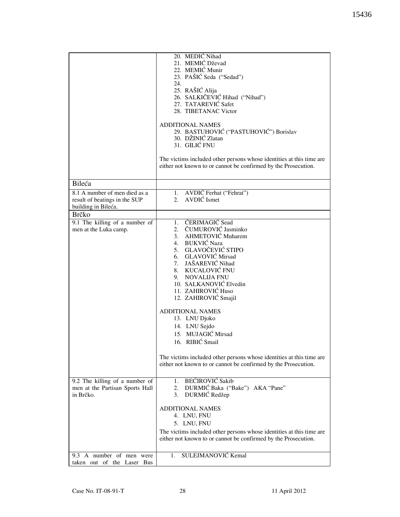|                                                                                       | 20. MEDIĆ Nihad<br>21. MEMIĆ Dževad<br>22. MEMIĆ Munir<br>23. PAŠIĆ Seda ("Sedad")<br>24.<br>25. RAŠIĆ Alija<br>26. SALKIČEVIĆ Hihad ("Nihad")<br>27. TATAREVIĆ Safet<br>28. TIBETANAC Victor<br><b>ADDITIONAL NAMES</b><br>29. BASTUHOVIĆ ("PASTUHOVIĆ") Borislav<br>30. DŽINIĆ Zlatan<br>31. GILIĆ FNU<br>The victims included other persons whose identities at this time are<br>either not known to or cannot be confirmed by the Prosecution.                                                                     |
|---------------------------------------------------------------------------------------|------------------------------------------------------------------------------------------------------------------------------------------------------------------------------------------------------------------------------------------------------------------------------------------------------------------------------------------------------------------------------------------------------------------------------------------------------------------------------------------------------------------------|
| Bileća                                                                                |                                                                                                                                                                                                                                                                                                                                                                                                                                                                                                                        |
| 8.1 A number of men died as a<br>result of beatings in the SUP<br>building in Bileća. | 1. AVDIĆ Ferhat ("Fehrat")<br>2. AVDIĆ Ismet                                                                                                                                                                                                                                                                                                                                                                                                                                                                           |
| <b>Brčko</b>                                                                          |                                                                                                                                                                                                                                                                                                                                                                                                                                                                                                                        |
| 9.1 The killing $\overline{of}$ a number of<br>men at the Luka camp.                  | 1. ĆERIMAGIĆ Sead<br>2. ČUMUROVIĆ Jasminko<br>3. AHMETOVIĆ Muharem<br>4. BUKVIĆ Naza<br>5. GLAVOČEVIĆ STIPO<br>6. GLAVOVIĆ Mirsad<br>7. JAŠAREVIĆ Nihad<br>8. KUCALOVIĆ FNU<br>9. NOVALIJA FNU<br>10. SALKANOVIĆ Elvedin<br>11. ZAHIROVIĆ Huso<br>12. ZAHIROVIĆ Smajil<br><b>ADDITIONAL NAMES</b><br>13. LNU Djoko<br>14. LNU Sejdo<br>15. MUJAGIĆ Mirsad<br>16. RIBIĆ Smail<br>The victims included other persons whose identities at this time are<br>either not known to or cannot be confirmed by the Prosecution. |
| 9.2 The killing of a number of<br>men at the Partisan Sports Hall<br>in Brčko.        | <b>BEĆIROVIĆ Sakib</b><br>1.<br>2. DURMIĆ Baka ("Bake") AKA "Pane"<br>3. DURMIĆ Redžep                                                                                                                                                                                                                                                                                                                                                                                                                                 |
|                                                                                       | <b>ADDITIONAL NAMES</b><br>4. LNU, FNU<br>5. LNU, FNU<br>The victims included other persons whose identities at this time are<br>either not known to or cannot be confirmed by the Prosecution.                                                                                                                                                                                                                                                                                                                        |
| 9.3 A number of men were<br>taken out of the Laser Bus                                | SULEJMANOVIĆ Kemal<br>1.                                                                                                                                                                                                                                                                                                                                                                                                                                                                                               |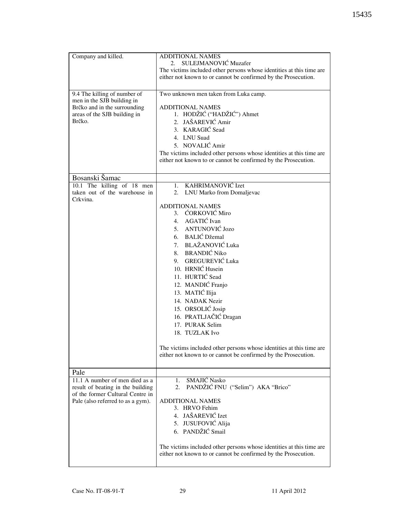| Company and killed.<br>9.4 The killing of number of<br>men in the SJB building in<br>Brčko and in the surrounding<br>areas of the SJB building in<br>Brčko. | <b>ADDITIONAL NAMES</b><br>SULEJMANOVIĆ Muzafer<br>2.<br>The victims included other persons whose identities at this time are<br>either not known to or cannot be confirmed by the Prosecution.<br>Two unknown men taken from Luka camp.<br><b>ADDITIONAL NAMES</b><br>1. HODŽIĆ ("HADŽIĆ") Ahmet<br>2. JAŠAREVIĆ Amir<br>3. KARAGIĆ Sead<br>4. LNU Suad<br>5. NOVALIĆ Amir<br>The victims included other persons whose identities at this time are<br>either not known to or cannot be confirmed by the Prosecution. |
|-------------------------------------------------------------------------------------------------------------------------------------------------------------|-----------------------------------------------------------------------------------------------------------------------------------------------------------------------------------------------------------------------------------------------------------------------------------------------------------------------------------------------------------------------------------------------------------------------------------------------------------------------------------------------------------------------|
|                                                                                                                                                             |                                                                                                                                                                                                                                                                                                                                                                                                                                                                                                                       |
| Bosanski Šamac<br>10.1 The killing of 18 men                                                                                                                | 1. KAHRIMANOVIĆ Izet                                                                                                                                                                                                                                                                                                                                                                                                                                                                                                  |
| taken out of the warehouse in<br>Crkvina.                                                                                                                   | 2. LNU Marko from Domaljevac                                                                                                                                                                                                                                                                                                                                                                                                                                                                                          |
|                                                                                                                                                             | <b>ADDITIONAL NAMES</b><br>3. ĆORKOVIĆ Miro<br>4. AGATIĆ Ivan<br>5. ANTUNOVIĆ Jozo<br>6. BALIĆ Džemal<br>7. BLAŽANOVIĆ Luka<br>8. BRANDIĆ Niko<br>9. GREGUREVIĆ Luka<br>10. HRNIĆ Husein<br>11. HURTIĆ Sead<br>12. MANDIĆ Franjo<br>13. MATIĆ Ilija<br>14. NAĐAK Nezir<br>15. ORSOLIĆ Josip<br>16. PRATLJAČIĆ Dragan<br>17. PURAK Selim<br>18. TUZLAK Ivo<br>The victims included other persons whose identities at this time are<br>either not known to or cannot be confirmed by the Prosecution.                   |
| Pale<br>11.1 A number of men died as a<br>result of beating in the building<br>of the former Cultural Centre in<br>Pale (also referred to as a gym).        | SMAJIĆ Nasko<br>1.<br>PANDŽIĆ FNU ("Selim") AKA "Brico"<br>2.<br><b>ADDITIONAL NAMES</b><br>3. HRVO Fehim<br>4. JAŠAREVIĆ Izet<br>5. JUSUFOVIĆ Alija<br>6. PANDŽIĆ Smail                                                                                                                                                                                                                                                                                                                                              |
|                                                                                                                                                             | The victims included other persons whose identities at this time are<br>either not known to or cannot be confirmed by the Prosecution.                                                                                                                                                                                                                                                                                                                                                                                |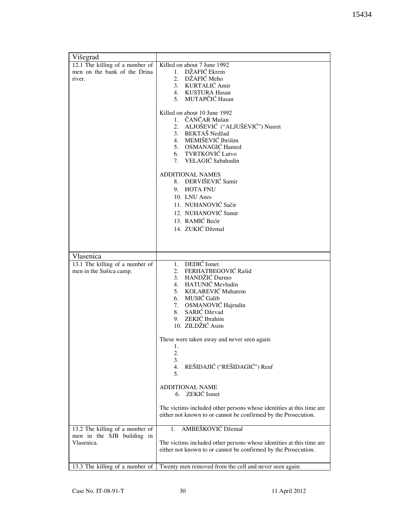| Višegrad                        |                                                                      |
|---------------------------------|----------------------------------------------------------------------|
| 12.1 The killing of a number of | Killed on about 7 June 1992                                          |
| men on the bank of the Drina    | 1. DŽAFIĆ Ekrem                                                      |
| river.                          | 2. DŽAFIĆ Meho                                                       |
|                                 | 3. KURTALIĆ Amir                                                     |
|                                 | 4. KUSTURA Hasan                                                     |
|                                 | 5. MUTAPČIĆ Hasan                                                    |
|                                 | Killed on about 10 June 1992                                         |
|                                 | 1. ČANČAR Mušan                                                      |
|                                 | 2. ALJOŠEVIĆ ("ALJUŠEVIĆ") Nusret                                    |
|                                 | 3. BEKTAŠ Nedžad                                                     |
|                                 | 4. MEMIŠEVIĆ Ibrišim                                                 |
|                                 | 5. OSMANAGIĆ Hamed                                                   |
|                                 | 6. TVRTKOVIĆ Lutvo                                                   |
|                                 | 7. VELAGIĆ Sabahudin                                                 |
|                                 |                                                                      |
|                                 | <b>ADDITIONAL NAMES</b><br>8. DERVIŠEVIĆ Samir                       |
|                                 | 9. HOTA FNU                                                          |
|                                 | 10. LNU Anes                                                         |
|                                 | 11. NUHANOVIĆ Sačir                                                  |
|                                 | 12. NUHANOVIĆ Samir                                                  |
|                                 | 13. RAMIĆ Bećir                                                      |
|                                 | 14. ZUKIĆ Džemal                                                     |
|                                 |                                                                      |
|                                 |                                                                      |
|                                 |                                                                      |
| Vlasenica                       |                                                                      |
| 13.1 The killing of a number of | 1. DEDIĆ Ismet                                                       |
| men in the Sušica camp.         | 2. FERHATBEGOVIĆ Rašid                                               |
|                                 | 3. HANDŽIĆ Durmo                                                     |
|                                 | 4. HATUNIĆ Mevludin<br>5. KOLAREVIĆ Muharem                          |
|                                 | 6. MUSIĆ Galib                                                       |
|                                 | 7. OSMANOVIĆ Hajrudin                                                |
|                                 | 8. SARIĆ Dževad                                                      |
|                                 | 9. ZEKIĆ Ibrahim                                                     |
|                                 | 10. ZILDŽIĆ Asim                                                     |
|                                 |                                                                      |
|                                 | These were taken away and never seen again:                          |
|                                 | 1.                                                                   |
|                                 | 2.                                                                   |
|                                 | 3.<br>REŠIDAJIĆ ("REŠIDAGIĆ") Reuf<br>4.                             |
|                                 | 5.                                                                   |
|                                 |                                                                      |
|                                 | <b>ADDITIONAL NAME</b>                                               |
|                                 | 6. ZEKIĆ Ismet                                                       |
|                                 |                                                                      |
|                                 | The victims included other persons whose identities at this time are |
|                                 | either not known to or cannot be confirmed by the Prosecution.       |
| 13.2 The killing of a number of | AMBEŠKOVIĆ Džemal<br>1.                                              |
| men in the SJB building in      |                                                                      |
| Vlasenica.                      | The victims included other persons whose identities at this time are |
|                                 | either not known to or cannot be confirmed by the Prosecution.       |
|                                 |                                                                      |
| 13.3 The killing of a number of | Twenty men removed from the cell and never seen again:               |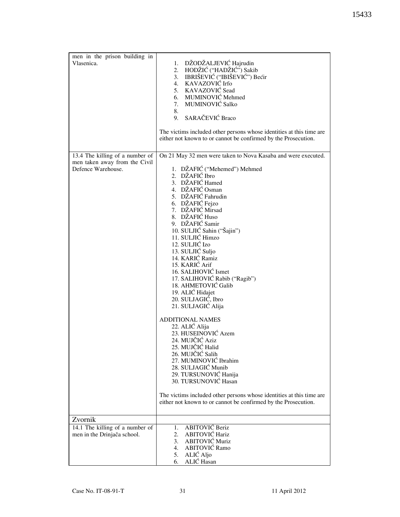| men in the prison building in<br>Vlasenica.                                            | 1. DŽODŽALJEVIĆ Hajrudin<br>2. HODŽIĆ ("HADŽIĆ") Sakib<br>3. IBRIŠEVIĆ ("IBIŠEVIĆ") Bećir<br>4. KAVAZOVIĆ Irfo<br>5. KAVAZOVIĆ Sead<br>6. MUMINOVIĆ Mehmed<br>MUMINOVIĆ Salko<br>7.<br>8.<br>SARAČEVIĆ Braco<br>9.                                                                                                                                                                                                                                                                                            |
|----------------------------------------------------------------------------------------|---------------------------------------------------------------------------------------------------------------------------------------------------------------------------------------------------------------------------------------------------------------------------------------------------------------------------------------------------------------------------------------------------------------------------------------------------------------------------------------------------------------|
|                                                                                        | The victims included other persons whose identities at this time are<br>either not known to or cannot be confirmed by the Prosecution.                                                                                                                                                                                                                                                                                                                                                                        |
| 13.4 The killing of a number of<br>men taken away from the Civil<br>Defence Warehouse. | On 21 May 32 men were taken to Nova Kasaba and were executed.<br>1. DŽAFIĆ ("Mehemed") Mehmed<br>2. DŽAFIĆ Ibro<br>3. DŽAFIĆ Hamed<br>4. DŽAFIĆ Osman<br>5. DŽAFIĆ Fahrudin<br>6. DŽAFIĆ Fejzo<br>7. DŽAFIĆ Mirsad<br>8. DŽAFIĆ Huso<br>9. DŽAFIĆ Samir<br>10. SULJIĆ Sahin ("Šajin")<br>11. SULJIĆ Himzo<br>12. SULJIĆ Izo<br>13. SULJIĆ Suljo<br>14. KARIĆ Ramiz<br>15. KARIĆ Arif<br>16. SALIHOVIĆ Ismet<br>17. SALIHOVIĆ Rabib ("Ragib")<br>18. AHMETOVIĆ Galib<br>19. ALIĆ Hidajet<br>20. SULJAGIĆ, Ibro |
|                                                                                        | 21. SULJAGIĆ Alija<br><b>ADDITIONAL NAMES</b><br>22. ALIĆ Alija<br>23. HUSEINOVIĆ Azem<br>24. MUJČIĆ Aziz<br>25. MUJCIC Halid<br>26. MUJČIĆ Salih<br>27. MUMINOVIĆ Ibrahim<br>28. SULJAGIĆ Munib<br>29. TURSUNOVIĆ Hanija<br>30. TURSUNOVIĆ Hasan<br>The victims included other persons whose identities at this time are<br>either not known to or cannot be confirmed by the Prosecution.                                                                                                                   |
| Zvornik                                                                                |                                                                                                                                                                                                                                                                                                                                                                                                                                                                                                               |
| 14.1 The killing of a number of<br>men in the Drinjača school.                         | 1. ABITOVIĆ Beriz<br>ABITOVIĆ Hariz<br>2.<br><b>ABITOVIĆ Muriz</b><br>3.<br>ABITOVIĆ Ramo<br>4.<br>ALIĆ Aljo<br>5.<br>ALIĆ Hasan<br>6.                                                                                                                                                                                                                                                                                                                                                                        |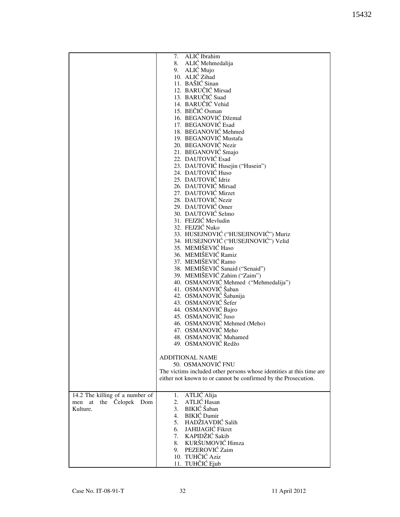|                                 | ALIĆ Ibrahim<br>7.                                                   |
|---------------------------------|----------------------------------------------------------------------|
|                                 | 8. ALIĆ Mehmedalija                                                  |
|                                 | 9. ALIĆ Mujo                                                         |
|                                 | 10. ALIĆ Zihad                                                       |
|                                 | 11. BAŠIĆ Sinan                                                      |
|                                 | 12. BARUČIĆ Mirsad                                                   |
|                                 |                                                                      |
|                                 | 13. BARUČIĆ Suad                                                     |
|                                 | 14. BARUČIĆ Vehid                                                    |
|                                 | 15. BEČIĆ Osman                                                      |
|                                 | 16. BEGANOVIĆ Džemal                                                 |
|                                 | 17. BEGANOVIĆ Esad                                                   |
|                                 | 18. BEGANOVIĆ Mehmed                                                 |
|                                 | 19. BEGANOVIĆ Mustafa                                                |
|                                 | 20. BEGANOVIĆ Nezir                                                  |
|                                 |                                                                      |
|                                 | 21. BEGANOVIĆ Smajo                                                  |
|                                 | 22. DAUTOVIĆ Esad                                                    |
|                                 | 23. DAUTOVIĆ Husejin ("Husein")                                      |
|                                 | 24. DAUTOVIĆ Huso                                                    |
|                                 | 25. DAUTOVIĆ Idriz                                                   |
|                                 | 26. DAUTOVIĆ Mirsad                                                  |
|                                 | 27. DAUTOVIĆ Mirzet                                                  |
|                                 | 28. DAUTOVIĆ Nezir                                                   |
|                                 | 29. DAUTOVIĆ Omer                                                    |
|                                 |                                                                      |
|                                 | 30. DAUTOVIĆ Selmo                                                   |
|                                 | 31. FEJZIĆ Mevludin                                                  |
|                                 | 32. FEJZIĆ Nuko                                                      |
|                                 | 33. HUSEJNOVIĆ ("HUSEJINOVIĆ") Muriz                                 |
|                                 | 34. HUSEJNOVIĆ ("HUSEJINOVIĆ") Velid                                 |
|                                 | 35. MEMIŠEVIĆ Haso                                                   |
|                                 | 36. MEMIŠEVIĆ Ramiz                                                  |
|                                 | 37. MEMIŠEVIĆ Ramo                                                   |
|                                 | 38. MEMIŠEVIĆ Sanaid ("Senaid")                                      |
|                                 |                                                                      |
|                                 | 39. MEMIŠEVIĆ Zahim ("Zaim")                                         |
|                                 | 40. OSMANOVIĆ Mehmed ("Mehmedalija")                                 |
|                                 | 41. OSMANOVIĆ Šaban                                                  |
|                                 | 42. OSMANOVIĆ Šabanija                                               |
|                                 | 43. OSMANOVIĆ Šefer                                                  |
|                                 | 44. OSMANOVIĆ Bajro                                                  |
|                                 | 45. OSMANOVIĆ Juso                                                   |
|                                 | 46. OSMANOVIĆ Mehmed (Meho)                                          |
|                                 | 47. OSMANOVIĆ Meho                                                   |
|                                 |                                                                      |
|                                 | 48. OSMANOVIĆ Muhamed                                                |
|                                 | 49. OSMANOVIĆ Redžo                                                  |
|                                 |                                                                      |
|                                 | ADDITIONAL NAME                                                      |
|                                 | 50. OSMANOVIĆ FNU                                                    |
|                                 | The victims included other persons whose identities at this time are |
|                                 | either not known to or cannot be confirmed by the Prosecution.       |
|                                 |                                                                      |
|                                 |                                                                      |
| 14.2 The killing of a number of | ATLIC Alija<br>1.                                                    |
| men at the Čelopek Dom          | ATLIĆ Hasan<br>2.                                                    |
| Kulture.                        | BIKIĆ Šaban<br>3.                                                    |
|                                 | 4. BIKIĆ Damir                                                       |
|                                 | 5. HADŽIAVDIĆ Salih                                                  |
|                                 | 6. JAHIJAGIĆ Fikret                                                  |
|                                 | 7. KAPIDŽIĆ Sakib                                                    |
|                                 | 8. KURŠUMOVIĆ Himza                                                  |
|                                 |                                                                      |
|                                 | 9. PEZEROVIĆ Zaim                                                    |
|                                 | 10. TUHČIĆ Aziz                                                      |
|                                 | 11. TUHČIĆ Ejub                                                      |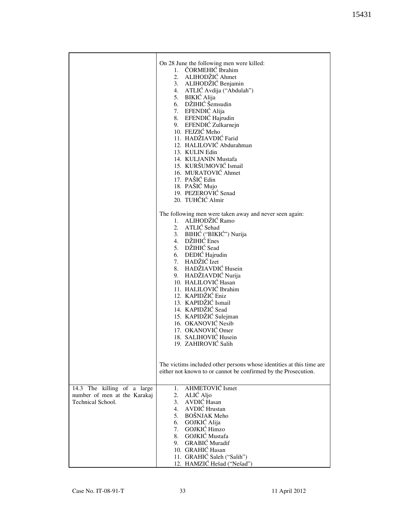|                              | On 28 June the following men were killed:                            |
|------------------------------|----------------------------------------------------------------------|
|                              | 1. ČORMEHIĆ Ibrahim<br>2. ALIHODŽIĆ Ahmet                            |
|                              | 3. ALIHODŽIĆ Benjamin                                                |
|                              | 4. ATLIĆ Avdija ("Abdulah")<br>5. BIKIĆ Alija                        |
|                              | 6. DŽIHIĆ Šemsudin                                                   |
|                              | 7. EFENDIĆ Alija                                                     |
|                              | 8. EFENDIĆ Hajrudin<br>9. EFENDIĆ Zulkarnejn                         |
|                              | 10. FEJZIĆ Meho                                                      |
|                              | 11. HADŽIAVDIĆ Farid<br>12. HALILOVIĆ Abdurahman                     |
|                              | 13. KULIN Edin                                                       |
|                              | 14. KULJANIN Mustafa<br>15. KURŠUMOVIĆ Ismail                        |
|                              | 16. MURATOVIĆ Ahmet                                                  |
|                              | 17. PAŠIĆ Edin<br>18. PAŠIĆ Mujo                                     |
|                              | 19. PEZEROVIĆ Senad                                                  |
|                              | 20. TUHČIĆ Almir                                                     |
|                              | The following men were taken away and never seen again:              |
|                              | 1. ALIHODŽIĆ Ramo<br>2. ATLIĆ Sehad                                  |
|                              | 3. BIHIĆ ("BIKIĆ") Nurija                                            |
|                              | 4. DŽIHIĆ Enes<br>5. DŽIHIĆ Sead                                     |
|                              | 6. DEDIĆ Hajrudin                                                    |
|                              | 7. HADŽIĆ Izet                                                       |
|                              | 8. HADŽIAVDIĆ Husein<br>9. HADŽIAVDIĆ Nurija                         |
|                              | 10. HALILOVIĆ Hasan                                                  |
|                              | 11. HALILOVIĆ Ibrahim<br>12. KAPIDŽIĆ Eniz                           |
|                              | 13. KAPIDŽIĆ Ismail                                                  |
|                              | 14. KAPIDŽIĆ Sead<br>15. KAPIDŽIĆ Sulejman                           |
|                              | 16. OKANOVIĆ Nesib                                                   |
|                              | 17. OKANOVIĆ Omer<br>18. SALIHOVIĆ Husein                            |
|                              | 19. ZAHIROVIĆ Salih                                                  |
|                              |                                                                      |
|                              | The victims included other persons whose identities at this time are |
|                              | either not known to or cannot be confirmed by the Prosecution.       |
| 14.3 The killing of a large  | 1. AHMETOVIĆ Ismet                                                   |
| number of men at the Karakaj | ALIĆ Aljo<br>2.                                                      |
| Technical School.            | AVDIĆ Hasan<br>3.<br>4. AVDIĆ Hrustan                                |
|                              | 5. BOŠNJAK Meho                                                      |
|                              | GOJKIĆ Alija<br>6.<br>GOJKIĆ Himzo<br>7.                             |
|                              | 8. GOJKIĆ Mustafa                                                    |
|                              | 9. GRABIĆ Muradif<br>10. GRAHIĆ Hasan                                |
|                              | 11. GRAHIĆ Saleh ("Salih")                                           |
|                              | 12. HAMZIĆ Hešad ("Nešad")                                           |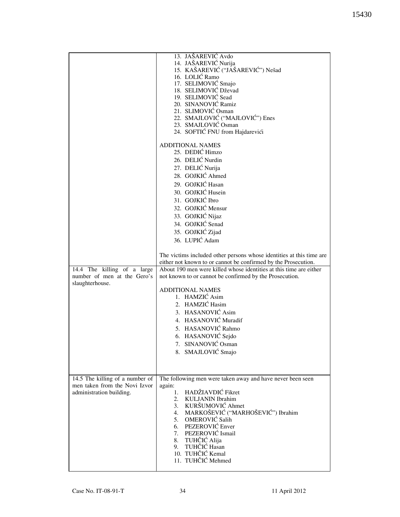|                                 | 13. JAŠAREVIĆ Avdo                                                                                                                   |
|---------------------------------|--------------------------------------------------------------------------------------------------------------------------------------|
|                                 |                                                                                                                                      |
|                                 | 14. JAŠAREVIĆ Nurija                                                                                                                 |
|                                 | 15. KAŠAREVIĆ ("JAŠAREVIĆ") Nešad                                                                                                    |
|                                 | 16. LOLIĆ Ramo                                                                                                                       |
|                                 | 17. SELIMOVIĆ Smajo                                                                                                                  |
|                                 | 18. SELIMOVIĆ Dževad                                                                                                                 |
|                                 | 19. SELIMOVIĆ Sead                                                                                                                   |
|                                 | 20. SINANOVIĆ Ramiz                                                                                                                  |
|                                 | 21. SLIMOVIĆ Osman                                                                                                                   |
|                                 | 22. SMAJLOVIĆ ("MAJLOVIĆ") Enes                                                                                                      |
|                                 | 23. SMAJLOVIĆ Osman                                                                                                                  |
|                                 | 24. SOFTIĆ FNU from Hajdarevići                                                                                                      |
|                                 | <b>ADDITIONAL NAMES</b>                                                                                                              |
|                                 | 25. DEDIĆ Himzo                                                                                                                      |
|                                 | 26. DELIĆ Nurdin                                                                                                                     |
|                                 |                                                                                                                                      |
|                                 | 27. DELIĆ Nurija                                                                                                                     |
|                                 | 28. GOJKIĆ Ahmed                                                                                                                     |
|                                 | 29. GOJKIĆ Hasan                                                                                                                     |
|                                 | 30. GOJKIĆ Husein                                                                                                                    |
|                                 | 31. GOJKIĆ Ibro                                                                                                                      |
|                                 |                                                                                                                                      |
|                                 | 32. GOJKIĆ Mensur                                                                                                                    |
|                                 | 33. GOJKIĆ Nijaz                                                                                                                     |
|                                 | 34. GOJKIĆ Senad                                                                                                                     |
|                                 | 35. GOJKIĆ Zijad                                                                                                                     |
|                                 | 36. LUPIĆ Adam                                                                                                                       |
|                                 |                                                                                                                                      |
|                                 |                                                                                                                                      |
|                                 | The victims included other persons whose identities at this time are                                                                 |
|                                 | either not known to or cannot be confirmed by the Prosecution.<br>About 190 men were killed whose identities at this time are either |
| 14.4 The killing of a large     |                                                                                                                                      |
| number of men at the Gero's     | not known to or cannot be confirmed by the Prosecution.                                                                              |
| slaughterhouse.                 |                                                                                                                                      |
|                                 | <b>ADDITIONAL NAMES</b><br>1. HAMZIĆ Asim                                                                                            |
|                                 |                                                                                                                                      |
|                                 | 2. HAMZIĆ Hasim                                                                                                                      |
|                                 | 3. HASANOVIĆ Asim                                                                                                                    |
|                                 | 4. HASANOVIĆ Muradif                                                                                                                 |
|                                 | 5. HASANOVIĆ Rahmo                                                                                                                   |
|                                 | 6. HASANOVIĆ Sejdo                                                                                                                   |
|                                 | 7. SINANOVIĆ Osman                                                                                                                   |
|                                 |                                                                                                                                      |
|                                 | 8. SMAJLOVIĆ Smajo                                                                                                                   |
|                                 |                                                                                                                                      |
|                                 |                                                                                                                                      |
| 14.5 The killing of a number of | The following men were taken away and have never been seen                                                                           |
| men taken from the Novi Izvor   | again:                                                                                                                               |
| administration building.        | HADŽIAVDIĆ Fikret<br>1.                                                                                                              |
|                                 | 2. KULJANIN Ibrahim                                                                                                                  |
|                                 | 3. KURŠUMOVIĆ Ahmet                                                                                                                  |
|                                 | 4. MARKOŠEVIĆ ("MARHOŠEVIĆ") Ibrahim                                                                                                 |
|                                 | 5. OMEROVIĆ Salih                                                                                                                    |
|                                 | 6. PEZEROVIĆ Enver                                                                                                                   |
|                                 | 7. PEZEROVIĆ Ismail                                                                                                                  |
|                                 | 8. TUHČIĆ Alija                                                                                                                      |
|                                 | 9. TUHČIĆ Hasan                                                                                                                      |
|                                 |                                                                                                                                      |
|                                 |                                                                                                                                      |
|                                 | 10. TUHČIĆ Kemal<br>11. TUHČIĆ Mehmed                                                                                                |